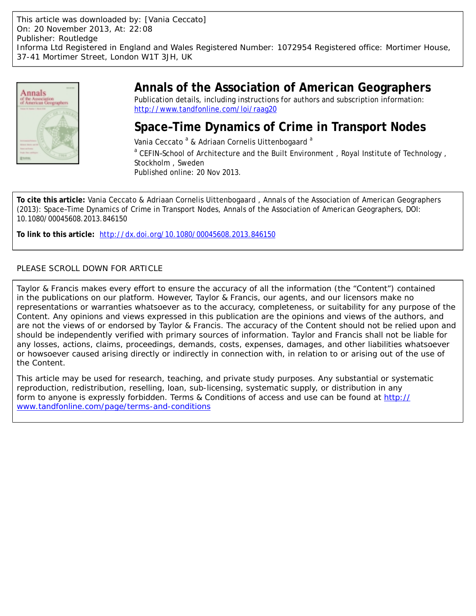

# **Annals of the Association of American Geographers**

Publication details, including instructions for authors and subscription information: <http://www.tandfonline.com/loi/raag20>

# **Space–Time Dynamics of Crime in Transport Nodes**

Vania Ceccato<sup>a</sup> & Adriaan Cornelis Uittenbogaard<sup>a</sup>

<sup>a</sup> CEFIN-School of Architecture and the Built Environment, Royal Institute of Technology, Stockholm , Sweden

Published online: 20 Nov 2013.

**To cite this article:** Vania Ceccato & Adriaan Cornelis Uittenbogaard , Annals of the Association of American Geographers (2013): Space–Time Dynamics of Crime in Transport Nodes, Annals of the Association of American Geographers, DOI: 10.1080/00045608.2013.846150

**To link to this article:** <http://dx.doi.org/10.1080/00045608.2013.846150>

# PLEASE SCROLL DOWN FOR ARTICLE

Taylor & Francis makes every effort to ensure the accuracy of all the information (the "Content") contained in the publications on our platform. However, Taylor & Francis, our agents, and our licensors make no representations or warranties whatsoever as to the accuracy, completeness, or suitability for any purpose of the Content. Any opinions and views expressed in this publication are the opinions and views of the authors, and are not the views of or endorsed by Taylor & Francis. The accuracy of the Content should not be relied upon and should be independently verified with primary sources of information. Taylor and Francis shall not be liable for any losses, actions, claims, proceedings, demands, costs, expenses, damages, and other liabilities whatsoever or howsoever caused arising directly or indirectly in connection with, in relation to or arising out of the use of the Content.

This article may be used for research, teaching, and private study purposes. Any substantial or systematic reproduction, redistribution, reselling, loan, sub-licensing, systematic supply, or distribution in any form to anyone is expressly forbidden. Terms & Conditions of access and use can be found at [http://](http://www.tandfonline.com/page/terms-and-conditions) [www.tandfonline.com/page/terms-and-conditions](http://www.tandfonline.com/page/terms-and-conditions)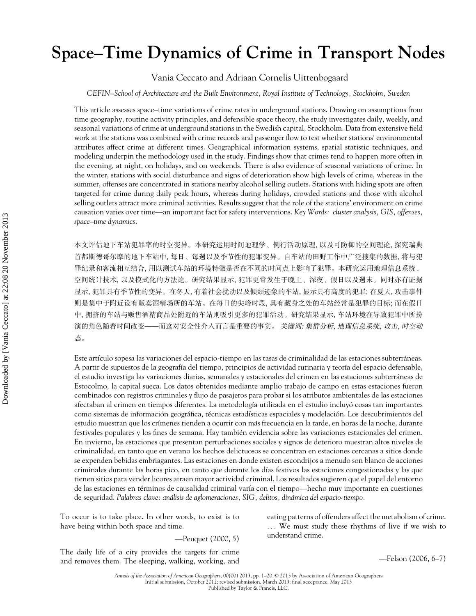# **Space–Time Dynamics of Crime in Transport Nodes**

Vania Ceccato and Adriaan Cornelis Uittenbogaard

*CEFIN–School of Architecture and the Built Environment, Royal Institute of Technology, Stockholm, Sweden*

This article assesses space–time variations of crime rates in underground stations. Drawing on assumptions from time geography, routine activity principles, and defensible space theory, the study investigates daily, weekly, and seasonal variations of crime at underground stations in the Swedish capital, Stockholm. Data from extensive field work at the stations was combined with crime records and passenger flow to test whether stations' environmental attributes affect crime at different times. Geographical information systems, spatial statistic techniques, and modeling underpin the methodology used in the study. Findings show that crimes tend to happen more often in the evening, at night, on holidays, and on weekends. There is also evidence of seasonal variations of crime. In the winter, stations with social disturbance and signs of deterioration show high levels of crime, whereas in the summer, offenses are concentrated in stations nearby alcohol selling outlets. Stations with hiding spots are often targeted for crime during daily peak hours, whereas during holidays, crowded stations and those with alcohol selling outlets attract more criminal activities. Results suggest that the role of the stations' environment on crime causation varies over time—an important fact for safety interventions. *Key Words: cluster analysis, GIS, offenses, space–time dynamics.*

本文评估地下车站犯罪率的时空变异。本研究运用时间地理学、例行活动原理, 以及可防御的空间理论, 探究瑞典 首都斯德哥尔摩的地下车站中, 每日、每週以及季节性的犯罪变异。自车站的田野工作中广泛搜集的数据, 将与犯 罪纪录和客流相互结合,用以测试车站的环境特徵是否在不同的时间点上影响了犯罪。本研究运用地理信息系统、 空间统计技术, 以及模式化的方法论。研究结果显示, 犯罪更常发生于晚上、深夜、假日以及週末。同时亦有证据 显示, 犯罪具有季节性的变异。在冬天, 有着社会扰动以及倾颓迹象的车站, 显示具有高度的犯罪; 在夏天, 攻击事件 则是集中于附近设有贩卖酒精场所的车站。在每日的尖峰时段, 具有藏身之处的车站经常是犯罪的目标; 而在假日 中, 拥挤的车站与贩售酒精商品处附近的车站则吸引更多的犯罪活动。研究结果显示, 车站环境在导致犯罪中所扮 演的角色随着时间改变——而这对安全性介入而言是重要的事实。 关键词: 集群分析, 地理信息系统, 攻击, 时空动 态。

Este artículo sopesa las variaciones del espacio-tiempo en las tasas de criminalidad de las estaciones subterráneas. A partir de supuestos de la geografía del tiempo, principios de actividad rutinaria y teoría del espacio defensable, el estudio investiga las variaciones diarias, semanales y estacionales del crimen en las estaciones subterraneas de ´ Estocolmo, la capital sueca. Los datos obtenidos mediante amplio trabajo de campo en estas estaciones fueron combinados con registros criminales y flujo de pasajeros para probar si los atributos ambientales de las estaciones afectaban al crimen en tiempos diferentes. La metodología utilizada en el estudio incluyó cosas tan importantes como sistemas de información geográfica, técnicas estadísticas espaciales y modelación. Los descubrimientos del estudio muestran que los crímenes tienden a ocurrir con más frecuencia en la tarde, en horas de la noche, durante festivales populares y los fines de semana. Hay tambien evidencia sobre las variaciones estacionales del crimen. ´ En invierno, las estaciones que presentan perturbaciones sociales y signos de deterioro muestran altos niveles de criminalidad, en tanto que en verano los hechos delictuosos se concentran en estaciones cercanas a sitios donde se expenden bebidas embriagantes. Las estaciones en donde existen escondrijos a menudo son blanco de acciones criminales durante las horas pico, en tanto que durante los d´ıas festivos las estaciones congestionadas y las que tienen sitios para vender licores atraen mayor actividad criminal. Los resultados sugieren que el papel del entorno de las estaciones en términos de causalidad criminal varía con el tiempo—hecho muy importante en cuestiones de seguridad. *Palabras clave: analisis de aglomeraciones, SIG, delitos, din ´ amica del espacio-tiempo. ´*

To occur is to take place. In other words, to exist is to have being within both space and time.

—Peuquet (2000, 5)

The daily life of a city provides the targets for crime and removes them. The sleeping, walking, working, and eating patterns of offenders affect the metabolism of crime. ... We must study these rhythms of live if we wish to understand crime.

—Felson (2006, 6–7)

Annals of the Association of American Geographers, 00(00) 2013, pp. 1–20 © 2013 by Association of American Geographers Initial submission, October 2012; revised submission, March 2013; final acceptance, May 2013 Published by Taylor & Francis, LLC.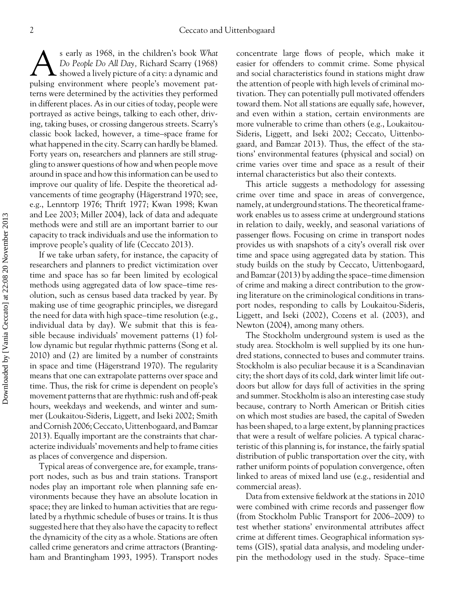s early as 1968, in the children's book What *Do People Do All Day,* Richard Scarry (1968)  $\blacktriangle$  showed a lively picture of a city: a dynamic and pulsing environment where people's movement patterns were determined by the activities they performed in different places. As in our cities of today, people were portrayed as active beings, talking to each other, driving, taking buses, or crossing dangerous streets. Scarry's classic book lacked, however, a time–space frame for what happened in the city. Scarry can hardly be blamed. Forty years on, researchers and planners are still struggling to answer questions of how and when people move around in space and how this information can be used to improve our quality of life. Despite the theoretical advancements of time geography (Hägerstrand 1970; see, e.g., Lenntorp 1976; Thrift 1977; Kwan 1998; Kwan and Lee 2003; Miller 2004), lack of data and adequate methods were and still are an important barrier to our capacity to track individuals and use the information to improve people's quality of life (Ceccato 2013).

If we take urban safety, for instance, the capacity of researchers and planners to predict victimization over time and space has so far been limited by ecological methods using aggregated data of low space–time resolution, such as census based data tracked by year. By making use of time geographic principles, we disregard the need for data with high space–time resolution (e.g., individual data by day). We submit that this is feasible because individuals' movement patterns (1) follow dynamic but regular rhythmic patterns (Song et al. 2010) and (2) are limited by a number of constraints in space and time (Hägerstrand 1970). The regularity means that one can extrapolate patterns over space and time. Thus, the risk for crime is dependent on people's movement patterns that are rhythmic: rush and off-peak hours, weekdays and weekends, and winter and summer (Loukaitou-Sideris, Liggett, and Iseki 2002; Smith and Cornish 2006; Ceccato, Uittenbogaard, and Bamzar 2013). Equally important are the constraints that characterize individuals' movements and help to frame cities as places of convergence and dispersion.

Typical areas of convergence are, for example, transport nodes, such as bus and train stations. Transport nodes play an important role when planning safe environments because they have an absolute location in space; they are linked to human activities that are regulated by a rhythmic schedule of buses or trains. It is thus suggested here that they also have the capacity to reflect the dynamicity of the city as a whole. Stations are often called crime generators and crime attractors (Brantingham and Brantingham 1993, 1995). Transport nodes concentrate large flows of people, which make it easier for offenders to commit crime. Some physical and social characteristics found in stations might draw the attention of people with high levels of criminal motivation. They can potentially pull motivated offenders toward them. Not all stations are equally safe, however, and even within a station, certain environments are more vulnerable to crime than others (e.g., Loukaitou-Sideris, Liggett, and Iseki 2002; Ceccato, Uittenbogaard, and Bamzar 2013). Thus, the effect of the stations' environmental features (physical and social) on crime varies over time and space as a result of their internal characteristics but also their contexts.

This article suggests a methodology for assessing crime over time and space in areas of convergence, namely, at underground stations. The theoretical framework enables us to assess crime at underground stations in relation to daily, weekly, and seasonal variations of passenger flows. Focusing on crime in transport nodes provides us with snapshots of a city's overall risk over time and space using aggregated data by station. This study builds on the study by Ceccato, Uittenbogaard, and Bamzar (2013) by adding the space–time dimension of crime and making a direct contribution to the growing literature on the criminological conditions in transport nodes, responding to calls by Loukaitou-Sideris, Liggett, and Iseki (2002), Cozens et al. (2003), and Newton (2004), among many others.

The Stockholm underground system is used as the study area. Stockholm is well supplied by its one hundred stations, connected to buses and commuter trains. Stockholm is also peculiar because it is a Scandinavian city; the short days of its cold, dark winter limit life outdoors but allow for days full of activities in the spring and summer. Stockholm is also an interesting case study because, contrary to North American or British cities on which most studies are based, the capital of Sweden has been shaped, to a large extent, by planning practices that were a result of welfare policies. A typical characteristic of this planning is, for instance, the fairly spatial distribution of public transportation over the city, with rather uniform points of population convergence, often linked to areas of mixed land use (e.g., residential and commercial areas).

Data from extensive fieldwork at the stations in 2010 were combined with crime records and passenger flow (from Stockholm Public Transport for 2006–2009) to test whether stations' environmental attributes affect crime at different times. Geographical information systems (GIS), spatial data analysis, and modeling underpin the methodology used in the study. Space–time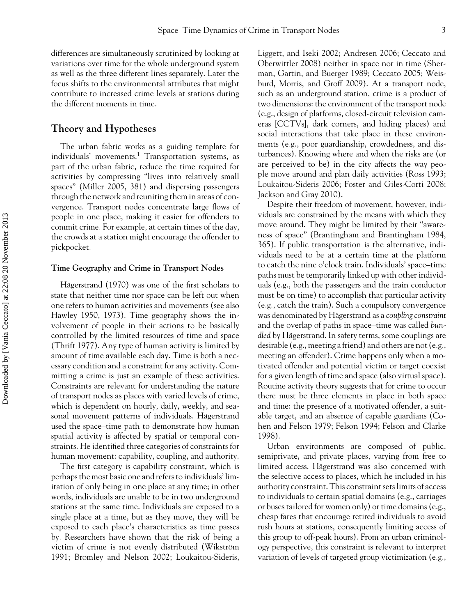differences are simultaneously scrutinized by looking at variations over time for the whole underground system as well as the three different lines separately. Later the focus shifts to the environmental attributes that might contribute to increased crime levels at stations during the different moments in time.

# **Theory and Hypotheses**

The urban fabric works as a guiding template for individuals' movements.<sup>1</sup> Transportation systems, as part of the urban fabric, reduce the time required for activities by compressing "lives into relatively small spaces" (Miller 2005, 381) and dispersing passengers through the network and reuniting them in areas of convergence. Transport nodes concentrate large flows of people in one place, making it easier for offenders to commit crime. For example, at certain times of the day, the crowds at a station might encourage the offender to pickpocket.

#### **Time Geography and Crime in Transport Nodes**

Hägerstrand (1970) was one of the first scholars to state that neither time nor space can be left out when one refers to human activities and movements (see also Hawley 1950, 1973). Time geography shows the involvement of people in their actions to be basically controlled by the limited resources of time and space (Thrift 1977). Any type of human activity is limited by amount of time available each day. Time is both a necessary condition and a constraint for any activity. Committing a crime is just an example of these activities. Constraints are relevant for understanding the nature of transport nodes as places with varied levels of crime, which is dependent on hourly, daily, weekly, and seasonal movement patterns of individuals. Hägerstrand used the space–time path to demonstrate how human spatial activity is affected by spatial or temporal constraints. He identified three categories of constraints for human movement: capability, coupling, and authority.

The first category is capability constraint, which is perhaps the most basic one and refers to individuals' limitation of only being in one place at any time; in other words, individuals are unable to be in two underground stations at the same time. Individuals are exposed to a single place at a time, but as they move, they will be exposed to each place's characteristics as time passes by. Researchers have shown that the risk of being a victim of crime is not evenly distributed (Wikström 1991; Bromley and Nelson 2002; Loukaitou-Sideris, Liggett, and Iseki 2002; Andresen 2006; Ceccato and Oberwittler 2008) neither in space nor in time (Sherman, Gartin, and Buerger 1989; Ceccato 2005; Weisburd, Morris, and Groff 2009). At a transport node, such as an underground station, crime is a product of two dimensions: the environment of the transport node (e.g., design of platforms, closed-circuit television cameras [CCTVs], dark corners, and hiding places) and social interactions that take place in these environments (e.g., poor guardianship, crowdedness, and disturbances). Knowing where and when the risks are (or are perceived to be) in the city affects the way people move around and plan daily activities (Ross 1993; Loukaitou-Sideris 2006; Foster and Giles-Corti 2008; Jackson and Gray 2010).

Despite their freedom of movement, however, individuals are constrained by the means with which they move around. They might be limited by their "awareness of space" (Brantingham and Brantingham 1984, 365). If public transportation is the alternative, individuals need to be at a certain time at the platform to catch the nine o'clock train. Individuals' space–time paths must be temporarily linked up with other individuals (e.g., both the passengers and the train conductor must be on time) to accomplish that particular activity (e.g., catch the train). Such a compulsory convergence was denominated by Hägerstrand as a *coupling constraint* and the overlap of paths in space–time was called *bundled* by Hägerstrand. In safety terms, some couplings are desirable (e.g., meeting a friend) and others are not (e.g., meeting an offender). Crime happens only when a motivated offender and potential victim or target coexist for a given length of time and space (also virtual space). Routine activity theory suggests that for crime to occur there must be three elements in place in both space and time: the presence of a motivated offender, a suitable target, and an absence of capable guardians (Cohen and Felson 1979; Felson 1994; Felson and Clarke 1998).

Urban environments are composed of public, semiprivate, and private places, varying from free to limited access. Hägerstrand was also concerned with the selective access to places, which he included in his authority constraint. This constraint sets limits of access to individuals to certain spatial domains (e.g., carriages or buses tailored for women only) or time domains (e.g., cheap fares that encourage retired individuals to avoid rush hours at stations, consequently limiting access of this group to off-peak hours). From an urban criminology perspective, this constraint is relevant to interpret variation of levels of targeted group victimization (e.g.,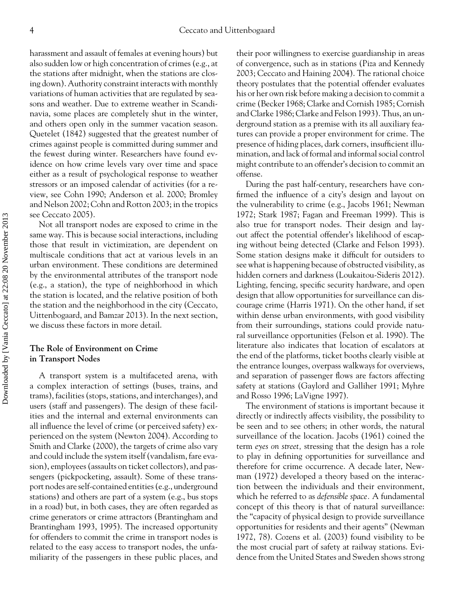harassment and assault of females at evening hours) but also sudden low or high concentration of crimes (e.g., at the stations after midnight, when the stations are closing down). Authority constraint interacts with monthly variations of human activities that are regulated by seasons and weather. Due to extreme weather in Scandinavia, some places are completely shut in the winter, and others open only in the summer vacation season. Quetelet (1842) suggested that the greatest number of crimes against people is committed during summer and the fewest during winter. Researchers have found evidence on how crime levels vary over time and space either as a result of psychological response to weather stressors or an imposed calendar of activities (for a review, see Cohn 1990; Anderson et al. 2000; Bromley and Nelson 2002; Cohn and Rotton 2003; in the tropics see Ceccato 2005).

Not all transport nodes are exposed to crime in the same way. This is because social interactions, including those that result in victimization, are dependent on multiscale conditions that act at various levels in an urban environment. These conditions are determined by the environmental attributes of the transport node (e.g., a station), the type of neighborhood in which the station is located, and the relative position of both the station and the neighborhood in the city (Ceccato, Uittenbogaard, and Bamzar 2013). In the next section, we discuss these factors in more detail.

#### **The Role of Environment on Crime in Transport Nodes**

A transport system is a multifaceted arena, with a complex interaction of settings (buses, trains, and trams), facilities (stops, stations, and interchanges), and users (staff and passengers). The design of these facilities and the internal and external environments can all influence the level of crime (or perceived safety) experienced on the system (Newton 2004). According to Smith and Clarke (2000), the targets of crime also vary and could include the system itself (vandalism, fare evasion), employees (assaults on ticket collectors), and passengers (pickpocketing, assault). Some of these transport nodes are self-contained entities (e.g., underground stations) and others are part of a system (e.g., bus stops in a road) but, in both cases, they are often regarded as crime generators or crime attractors (Brantingham and Brantingham 1993, 1995). The increased opportunity for offenders to commit the crime in transport nodes is related to the easy access to transport nodes, the unfamiliarity of the passengers in these public places, and their poor willingness to exercise guardianship in areas of convergence, such as in stations (Piza and Kennedy 2003; Ceccato and Haining 2004). The rational choice theory postulates that the potential offender evaluates his or her own risk before making a decision to commit a crime (Becker 1968; Clarke and Cornish 1985; Cornish and Clarke 1986; Clarke and Felson 1993). Thus, an underground station as a premise with its all auxiliary features can provide a proper environment for crime. The presence of hiding places, dark corners, insufficient illumination, and lack of formal and informal social control might contribute to an offender's decision to commit an offense.

During the past half-century, researchers have confirmed the influence of a city's design and layout on the vulnerability to crime (e.g., Jacobs 1961; Newman 1972; Stark 1987; Fagan and Freeman 1999). This is also true for transport nodes. Their design and layout affect the potential offender's likelihood of escaping without being detected (Clarke and Felson 1993). Some station designs make it difficult for outsiders to see what is happening because of obstructed visibility, as hidden corners and darkness (Loukaitou-Sideris 2012). Lighting, fencing, specific security hardware, and open design that allow opportunities for surveillance can discourage crime (Harris 1971). On the other hand, if set within dense urban environments, with good visibility from their surroundings, stations could provide natural surveillance opportunities (Felson et al. 1990). The literature also indicates that location of escalators at the end of the platforms, ticket booths clearly visible at the entrance lounges, overpass walkways for overviews, and separation of passenger flows are factors affecting safety at stations (Gaylord and Galliher 1991; Myhre and Rosso 1996; LaVigne 1997).

The environment of stations is important because it directly or indirectly affects visibility, the possibility to be seen and to see others; in other words, the natural surveillance of the location. Jacobs (1961) coined the term *eyes on street,* stressing that the design has a role to play in defining opportunities for surveillance and therefore for crime occurrence. A decade later, Newman (1972) developed a theory based on the interaction between the individuals and their environment, which he referred to as *defensible space.* A fundamental concept of this theory is that of natural surveillance: the "capacity of physical design to provide surveillance opportunities for residents and their agents" (Newman 1972, 78). Cozens et al. (2003) found visibility to be the most crucial part of safety at railway stations. Evidence from the United States and Sweden shows strong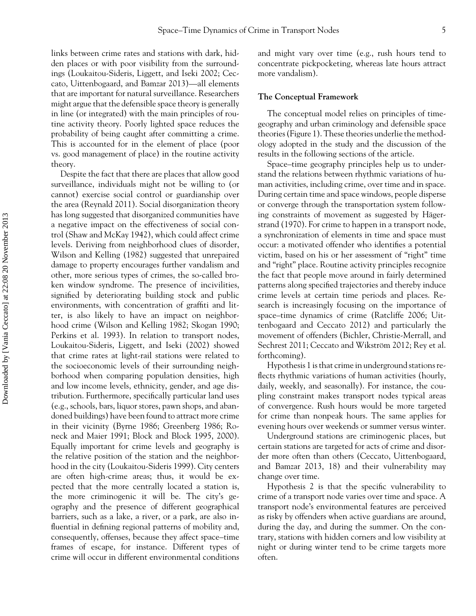links between crime rates and stations with dark, hidden places or with poor visibility from the surroundings (Loukaitou-Sideris, Liggett, and Iseki 2002; Ceccato, Uittenbogaard, and Bamzar 2013)—all elements that are important for natural surveillance. Researchers might argue that the defensible space theory is generally in line (or integrated) with the main principles of routine activity theory. Poorly lighted space reduces the probability of being caught after committing a crime. This is accounted for in the element of place (poor vs. good management of place) in the routine activity theory.

Despite the fact that there are places that allow good surveillance, individuals might not be willing to (or cannot) exercise social control or guardianship over the area (Reynald 2011). Social disorganization theory has long suggested that disorganized communities have a negative impact on the effectiveness of social control (Shaw and McKay 1942), which could affect crime levels. Deriving from neighborhood clues of disorder, Wilson and Kelling (1982) suggested that unrepaired damage to property encourages further vandalism and other, more serious types of crimes, the so-called broken window syndrome. The presence of incivilities, signified by deteriorating building stock and public environments, with concentration of graffiti and litter, is also likely to have an impact on neighborhood crime (Wilson and Kelling 1982; Skogan 1990; Perkins et al. 1993). In relation to transport nodes, Loukaitou-Sideris, Liggett, and Iseki (2002) showed that crime rates at light-rail stations were related to the socioeconomic levels of their surrounding neighborhood when comparing population densities, high and low income levels, ethnicity, gender, and age distribution. Furthermore, specifically particular land uses (e.g., schools, bars, liquor stores, pawn shops, and abandoned buildings) have been found to attract more crime in their vicinity (Byrne 1986; Greenberg 1986; Roneck and Maier 1991; Block and Block 1995, 2000). Equally important for crime levels and geography is the relative position of the station and the neighborhood in the city (Loukaitou-Sideris 1999). City centers are often high-crime areas; thus, it would be expected that the more centrally located a station is, the more criminogenic it will be. The city's geography and the presence of different geographical barriers, such as a lake, a river, or a park, are also influential in defining regional patterns of mobility and, consequently, offenses, because they affect space–time frames of escape, for instance. Different types of crime will occur in different environmental conditions and might vary over time (e.g., rush hours tend to concentrate pickpocketing, whereas late hours attract more vandalism).

#### **The Conceptual Framework**

The conceptual model relies on principles of timegeography and urban criminology and defensible space theories (Figure 1). These theories underlie the methodology adopted in the study and the discussion of the results in the following sections of the article.

Space–time geography principles help us to understand the relations between rhythmic variations of human activities, including crime, over time and in space. During certain time and space windows, people disperse or converge through the transportation system following constraints of movement as suggested by Hägerstrand (1970). For crime to happen in a transport node, a synchronization of elements in time and space must occur: a motivated offender who identifies a potential victim, based on his or her assessment of "right" time and "right" place. Routine activity principles recognize the fact that people move around in fairly determined patterns along specified trajectories and thereby induce crime levels at certain time periods and places. Research is increasingly focusing on the importance of space–time dynamics of crime (Ratcliffe 2006; Uittenbogaard and Ceccato 2012) and particularly the movement of offenders (Bichler, Christie-Merrall, and Sechrest 2011; Ceccato and Wikström 2012; Rey et al. forthcoming).

Hypothesis 1 is that crime in underground stations reflects rhythmic variations of human activities (hourly, daily, weekly, and seasonally). For instance, the coupling constraint makes transport nodes typical areas of convergence. Rush hours would be more targeted for crime than nonpeak hours. The same applies for evening hours over weekends or summer versus winter.

Underground stations are criminogenic places, but certain stations are targeted for acts of crime and disorder more often than others (Ceccato, Uittenbogaard, and Bamzar 2013, 18) and their vulnerability may change over time.

Hypothesis 2 is that the specific vulnerability to crime of a transport node varies over time and space. A transport node's environmental features are perceived as risky by offenders when active guardians are around, during the day, and during the summer. On the contrary, stations with hidden corners and low visibility at night or during winter tend to be crime targets more often.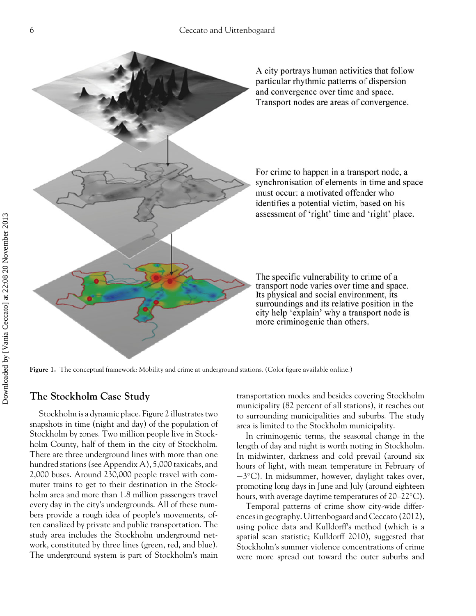

A city portrays human activities that follow particular rhythmic patterns of dispersion and convergence over time and space. Transport nodes are areas of convergence.

For crime to happen in a transport node, a synchronisation of elements in time and space must occur: a motivated offender who identifies a potential victim, based on his assessment of 'right' time and 'right' place.

The specific vulnerability to crime of a transport node varies over time and space. Its physical and social environment, its surroundings and its relative position in the city help 'explain' why a transport node is more criminogenic than others.

**Figure 1.** The conceptual framework: Mobility and crime at underground stations. (Color figure available online.)

# **The Stockholm Case Study**

Stockholm is a dynamic place. Figure 2 illustrates two snapshots in time (night and day) of the population of Stockholm by zones. Two million people live in Stockholm County, half of them in the city of Stockholm. There are three underground lines with more than one hundred stations (see Appendix A), 5,000 taxicabs, and 2,000 buses. Around 230,000 people travel with commuter trains to get to their destination in the Stockholm area and more than 1.8 million passengers travel every day in the city's undergrounds. All of these numbers provide a rough idea of people's movements, often canalized by private and public transportation. The study area includes the Stockholm underground network, constituted by three lines (green, red, and blue). The underground system is part of Stockholm's main

transportation modes and besides covering Stockholm municipality (82 percent of all stations), it reaches out to surrounding municipalities and suburbs. The study area is limited to the Stockholm municipality.

In criminogenic terms, the seasonal change in the length of day and night is worth noting in Stockholm. In midwinter, darkness and cold prevail (around six hours of light, with mean temperature in February of −3◦C). In midsummer, however, daylight takes over, promoting long days in June and July (around eighteen hours, with average daytime temperatures of 20–22◦C).

Temporal patterns of crime show city-wide differences in geography. Uittenbogaard and Ceccato (2012), using police data and Kulldorff's method (which is a spatial scan statistic; Kulldorff 2010), suggested that Stockholm's summer violence concentrations of crime were more spread out toward the outer suburbs and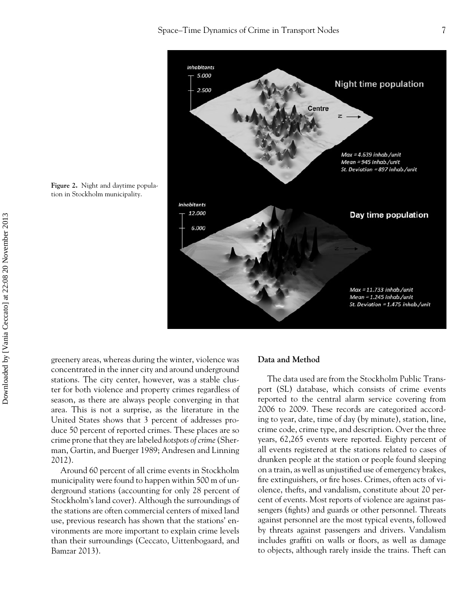

**Figure 2.** Night and daytime population in Stockholm municipality.

greenery areas, whereas during the winter, violence was concentrated in the inner city and around underground stations. The city center, however, was a stable cluster for both violence and property crimes regardless of season, as there are always people converging in that area. This is not a surprise, as the literature in the United States shows that 3 percent of addresses produce 50 percent of reported crimes. These places are so crime prone that they are labeled *hotspots of crime*(Sherman, Gartin, and Buerger 1989; Andresen and Linning 2012).

Around 60 percent of all crime events in Stockholm municipality were found to happen within 500 m of underground stations (accounting for only 28 percent of Stockholm's land cover). Although the surroundings of the stations are often commercial centers of mixed land use, previous research has shown that the stations' environments are more important to explain crime levels than their surroundings (Ceccato, Uittenbogaard, and Bamzar 2013).

#### **Data and Method**

The data used are from the Stockholm Public Transport (SL) database, which consists of crime events reported to the central alarm service covering from 2006 to 2009. These records are categorized according to year, date, time of day (by minute), station, line, crime code, crime type, and description. Over the three years, 62,265 events were reported. Eighty percent of all events registered at the stations related to cases of drunken people at the station or people found sleeping on a train, as well as unjustified use of emergency brakes, fire extinguishers, or fire hoses. Crimes, often acts of violence, thefts, and vandalism, constitute about 20 percent of events. Most reports of violence are against passengers (fights) and guards or other personnel. Threats against personnel are the most typical events, followed by threats against passengers and drivers. Vandalism includes graffiti on walls or floors, as well as damage to objects, although rarely inside the trains. Theft can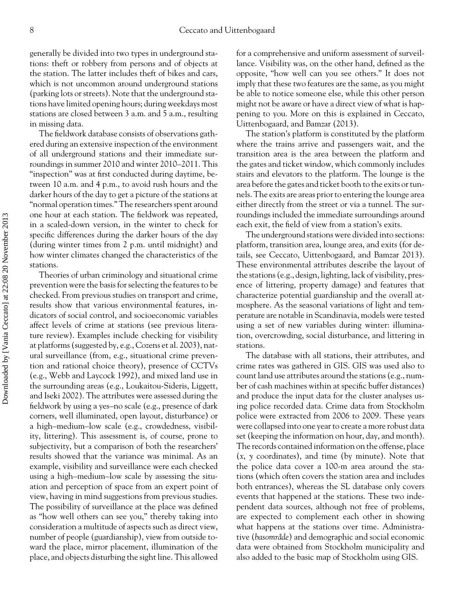generally be divided into two types in underground stations: theft or robbery from persons and of objects at the station. The latter includes theft of bikes and cars, which is not uncommon around underground stations (parking lots or streets). Note that the underground stations have limited opening hours; during weekdays most stations are closed between 3 a.m. and 5 a.m., resulting in missing data.

The fieldwork database consists of observations gathered during an extensive inspection of the environment of all underground stations and their immediate surroundings in summer 2010 and winter 2010–2011. This "inspection" was at first conducted during daytime, between 10 a.m. and 4 p.m., to avoid rush hours and the darker hours of the day to get a picture of the stations at "normal operation times." The researchers spent around one hour at each station. The fieldwork was repeated, in a scaled-down version, in the winter to check for specific differences during the darker hours of the day (during winter times from 2 p.m. until midnight) and how winter climates changed the characteristics of the stations.

Theories of urban criminology and situational crime prevention were the basis for selecting the features to be checked. From previous studies on transport and crime, results show that various environmental features, indicators of social control, and socioeconomic variables affect levels of crime at stations (see previous literature review). Examples include checking for visibility at platforms (suggested by, e.g., Cozens et al. 2003), natural surveillance (from, e.g., situational crime prevention and rational choice theory), presence of CCTVs (e.g., Webb and Laycock 1992), and mixed land use in the surrounding areas (e.g., Loukaitou-Sideris, Liggett, and Iseki 2002). The attributes were assessed during the fieldwork by using a yes–no scale (e.g., presence of dark corners, well illuminated, open layout, disturbance) or a high–medium–low scale (e.g., crowdedness, visibility, littering). This assessment is, of course, prone to subjectivity, but a comparison of both the researchers' results showed that the variance was minimal. As an example, visibility and surveillance were each checked using a high–medium–low scale by assessing the situation and perception of space from an expert point of view, having in mind suggestions from previous studies. The possibility of surveillance at the place was defined as "how well others can see you," thereby taking into consideration a multitude of aspects such as direct view, number of people (guardianship), view from outside toward the place, mirror placement, illumination of the place, and objects disturbing the sight line. This allowed

for a comprehensive and uniform assessment of surveillance. Visibility was, on the other hand, defined as the opposite, "how well can you see others." It does not imply that these two features are the same, as you might be able to notice someone else, while this other person might not be aware or have a direct view of what is happening to you. More on this is explained in Ceccato, Uittenbogaard, and Bamzar (2013).

The station's platform is constituted by the platform where the trains arrive and passengers wait, and the transition area is the area between the platform and the gates and ticket window, which commonly includes stairs and elevators to the platform. The lounge is the area before the gates and ticket booth to the exits or tunnels. The exits are areas prior to entering the lounge area either directly from the street or via a tunnel. The surroundings included the immediate surroundings around each exit, the field of view from a station's exits.

The underground stations were divided into sections: platform, transition area, lounge area, and exits (for details, see Ceccato, Uittenbogaard, and Bamzar 2013). These environmental attributes describe the layout of the stations (e.g., design, lighting, lack of visibility, presence of littering, property damage) and features that characterize potential guardianship and the overall atmosphere. As the seasonal variations of light and temperature are notable in Scandinavia, models were tested using a set of new variables during winter: illumination, overcrowding, social disturbance, and littering in stations.

The database with all stations, their attributes, and crime rates was gathered in GIS. GIS was used also to count land use attributes around the stations (e.g., number of cash machines within at specific buffer distances) and produce the input data for the cluster analyses using police recorded data. Crime data from Stockholm police were extracted from 2006 to 2009. These years were collapsed into one year to create a more robust data set (keeping the information on hour, day, and month). The records contained information on the offense, place (*x*, *y* coordinates), and time (by minute). Note that the police data cover a 100-m area around the stations (which often covers the station area and includes both entrances), whereas the SL database only covers events that happened at the stations. These two independent data sources, although not free of problems, are expected to complement each other in showing what happens at the stations over time. Administrative (*basomrade ˚* ) and demographic and social economic data were obtained from Stockholm municipality and also added to the basic map of Stockholm using GIS.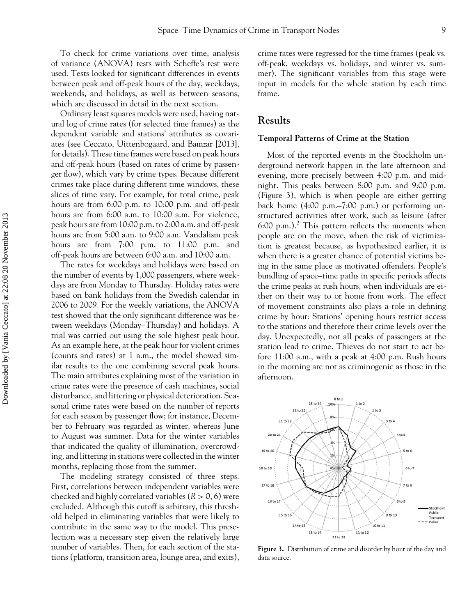To check for crime variations over time, analysis of variance (ANOVA) tests with Scheffe's test were used. Tests looked for significant differences in events between peak and off-peak hours of the day, weekdays, weekends, and holidays, as well as between seasons, which are discussed in detail in the next section.

Ordinary least squares models were used, having natural log of crime rates (for selected time frames) as the dependent variable and stations' attributes as covariates (see Ceccato, Uittenbogaard, and Bamzar [2013], for details). These time frames were based on peak hours and off-peak hours (based on rates of crime by passenger flow), which vary by crime types. Because different crimes take place during different time windows, these slices of time vary. For example, for total crime, peak hours are from 6:00 p.m. to 10:00 p.m. and off-peak hours are from 6:00 a.m. to 10:00 a.m. For violence, peak hours are from 10:00 p.m. to 2:00 a.m. and off-peak hours are from 5:00 a.m. to 9:00 a.m. Vandalism peak hours are from 7:00 p.m. to 11:00 p.m. and off-peak hours are between 6:00 a.m. and 10:00 a.m.

The rates for weekdays and holidays were based on the number of events by 1,000 passengers, where weekdays are from Monday to Thursday. Holiday rates were based on bank holidays from the Swedish calendar in 2006 to 2009. For the weekly variations, the ANOVA test showed that the only significant difference was between weekdays (Monday–Thursday) and holidays. A trial was carried out using the sole highest peak hour. As an example here, at the peak hour for violent crimes (counts and rates) at 1 a.m., the model showed similar results to the one combining several peak hours. The main attributes explaining most of the variation in crime rates were the presence of cash machines, social disturbance, and littering or physical deterioration. Seasonal crime rates were based on the number of reports for each season by passenger flow; for instance, December to February was regarded as winter, whereas June to August was summer. Data for the winter variables that indicated the quality of illumination, overcrowding, and littering in stations were collected in the winter months, replacing those from the summer.

The modeling strategy consisted of three steps. First, correlations between independent variables were checked and highly correlated variables  $(R > 0, 6)$  were excluded. Although this cutoff is arbitrary, this threshold helped in eliminating variables that were likely to contribute in the same way to the model. This preselection was a necessary step given the relatively large number of variables. Then, for each section of the stations (platform, transition area, lounge area, and exits), crime rates were regressed for the time frames (peak vs. off-peak, weekdays vs. holidays, and winter vs. summer). The significant variables from this stage were input in models for the whole station by each time frame.

## **Results**

#### **Temporal Patterns of Crime at the Station**

Most of the reported events in the Stockholm underground network happen in the late afternoon and evening, more precisely between 4:00 p.m. and midnight. This peaks between 8:00 p.m. and 9:00 p.m. (Figure 3), which is when people are either getting back home (4:00 p.m.–7:00 p.m.) or performing unstructured activities after work, such as leisure (after 6:00 p.m.).2 This pattern reflects the moments when people are on the move, when the risk of victimization is greatest because, as hypothesized earlier, it is when there is a greater chance of potential victims being in the same place as motivated offenders. People's bundling of space–time paths in specific periods affects the crime peaks at rush hours, when individuals are either on their way to or home from work. The effect of movement constraints also plays a role in defining crime by hour: Stations' opening hours restrict access to the stations and therefore their crime levels over the day. Unexpectedly, not all peaks of passengers at the station lead to crime. Thieves do not start to act before 11:00 a.m., with a peak at 4:00 p.m. Rush hours in the morning are not as criminogenic as those in the afternoon.



**Figure 3.** Distribution of crime and disorder by hour of the day and data source.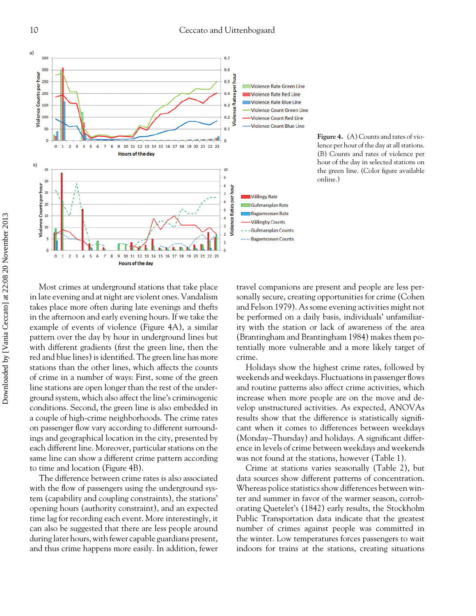



Most crimes at underground stations that take place in late evening and at night are violent ones. Vandalism takes place more often during late evenings and thefts in the afternoon and early evening hours. If we take the example of events of violence (Figure 4A), a similar pattern over the day by hour in underground lines but with different gradients (first the green line, then the red and blue lines) is identified. The green line has more stations than the other lines, which affects the counts of crime in a number of ways: First, some of the green line stations are open longer than the rest of the underground system, which also affect the line's criminogenic conditions. Second, the green line is also embedded in a couple of high-crime neighborhoods. The crime rates on passenger flow vary according to different surroundings and geographical location in the city, presented by each different line. Moreover, particular stations on the same line can show a different crime pattern according to time and location (Figure 4B).

The difference between crime rates is also associated with the flow of passengers using the underground system (capability and coupling constraints), the stations' opening hours (authority constraint), and an expected time lag for recording each event. More interestingly, it can also be suggested that there are less people around during later hours, with fewer capable guardians present, and thus crime happens more easily. In addition, fewer travel companions are present and people are less personally secure, creating opportunities for crime (Cohen and Felson 1979). As some evening activities might not be performed on a daily basis, individuals' unfamiliarity with the station or lack of awareness of the area (Brantingham and Brantingham 1984) makes them potentially more vulnerable and a more likely target of crime.

Holidays show the highest crime rates, followed by weekends and weekdays. Fluctuations in passenger flows and routine patterns also affect crime activities, which increase when more people are on the move and develop unstructured activities. As expected, ANOVAs results show that the difference is statistically significant when it comes to differences between weekdays (Monday–Thursday) and holidays. A significant difference in levels of crime between weekdays and weekends was not found at the stations, however (Table 1).

Crime at stations varies seasonally (Table 2), but data sources show different patterns of concentration. Whereas police statistics show differences between winter and summer in favor of the warmer season, corroborating Quetelet's (1842) early results, the Stockholm Public Transportation data indicate that the greatest number of crimes against people was committed in the winter. Low temperatures forces passengers to wait indoors for trains at the stations, creating situations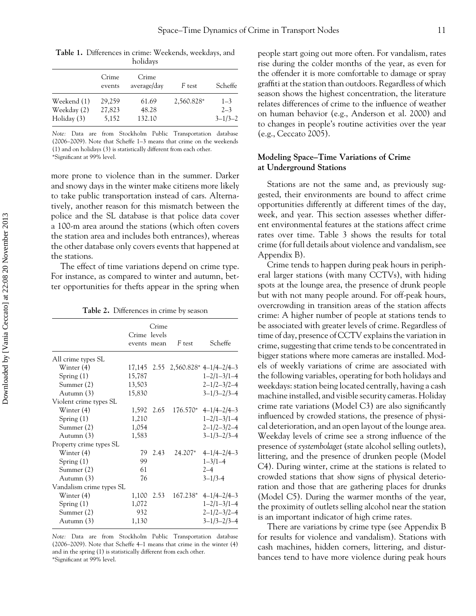|                            | Crime<br>events | Crime<br>average/day | F test     | Scheffe                  |
|----------------------------|-----------------|----------------------|------------|--------------------------|
| Weekend (1)                | 29,259          | 61.69                | 2,560.828* | $1 - 3$                  |
| Weekday (2)<br>Holiday (3) | 27,823<br>5,152 | 48.28<br>132.10      |            | $2 - 3$<br>$3 - 1/3 - 2$ |

**Table 1.** Differences in crime: Weekends, weekdays, and holidays

*Note:* Data are from Stockholm Public Transportation database (2006–2009). Note that Scheffe 1–3 means that crime on the weekends (1) and on holidays (3) is statistically different from each other. ∗Significant at 99% level.

more prone to violence than in the summer. Darker and snowy days in the winter make citizens more likely to take public transportation instead of cars. Alternatively, another reason for this mismatch between the police and the SL database is that police data cover a 100-m area around the stations (which often covers the station area and includes both entrances), whereas the other database only covers events that happened at the stations.

The effect of time variations depend on crime type. For instance, as compared to winter and autumn, better opportunities for thefts appear in the spring when

|  | Table 2. Differences in crime by season |  |  |  |  |
|--|-----------------------------------------|--|--|--|--|
|--|-----------------------------------------|--|--|--|--|

|                          | Crime levels<br>events mean | Crime      | F test | Scheffe                                    |
|--------------------------|-----------------------------|------------|--------|--------------------------------------------|
| All crime types SL       |                             |            |        |                                            |
| Winter (4)               |                             |            |        | $17,145$ $2.55$ $2,560.828*$ $4-1/4-2/4-3$ |
| Spring $(1)$             | 15,787                      |            |        | $1 - 2/1 - 3/1 - 4$                        |
| Summer (2)               | 13,503                      |            |        | $2 - 1/2 - 3/2 - 4$                        |
| Autumn (3)               | 15,830                      |            |        | $3 - 1/3 - 2/3 - 4$                        |
| Violent crime types SL   |                             |            |        |                                            |
| Winter (4)               |                             | 1,592 2.65 |        | $176.570*$ 4-1/4-2/4-3                     |
| Spring $(1)$             | 1,210                       |            |        | $1 - 2/1 - 3/1 - 4$                        |
| Summer (2)               | 1,054                       |            |        | $2 - 1/2 - 3/2 - 4$                        |
| Autumn (3)               | 1,583                       |            |        | $3 - 1/3 - 2/3 - 4$                        |
| Property crime types SL  |                             |            |        |                                            |
| Winter (4)               | 79                          | 2.43       |        | $24.207^*$ $4-1/4-2/4-3$                   |
| Spring (1)               | 99                          |            |        | $1 - 3/1 - 4$                              |
| Summer (2)               | 61                          |            |        | $2 - 4$                                    |
| Autumn (3)               | 76                          |            |        | $3 - 1/3 - 4$                              |
| Vandalism crime types SL |                             |            |        |                                            |
| Winter $(4)$             |                             | 1,100 2.53 |        | $167.238*$ 4-1/4-2/4-3                     |
| Spring $(1)$             | 1,072                       |            |        | $1 - 2/1 - 3/1 - 4$                        |
| Summer (2)               | 932                         |            |        | $2 - 1/2 - 3/2 - 4$                        |
| Autumn (3)               | 1,130                       |            |        | $3 - 1/3 - 2/3 - 4$                        |
|                          |                             |            |        |                                            |

*Note:* Data are from Stockholm Public Transportation database (2006–2009). Note that Scheffe 4–1 means that crime in the winter (4) and in the spring (1) is statistically different from each other. ∗Significant at 99% level.

people start going out more often. For vandalism, rates rise during the colder months of the year, as even for the offender it is more comfortable to damage or spray graffiti at the station than outdoors. Regardless of which season shows the highest concentration, the literature relates differences of crime to the influence of weather on human behavior (e.g., Anderson et al. 2000) and to changes in people's routine activities over the year (e.g., Ceccato 2005).

#### **Modeling Space–Time Variations of Crime at Underground Stations**

Stations are not the same and, as previously suggested, their environments are bound to affect crime opportunities differently at different times of the day, week, and year. This section assesses whether different environmental features at the stations affect crime rates over time. Table 3 shows the results for total crime (for full details about violence and vandalism, see Appendix B).

Crime tends to happen during peak hours in peripheral larger stations (with many CCTVs), with hiding spots at the lounge area, the presence of drunk people but with not many people around. For off-peak hours, overcrowding in transition areas of the station affects crime: A higher number of people at stations tends to be associated with greater levels of crime. Regardless of time of day, presence of CCTV explains the variation in crime, suggesting that crime tends to be concentrated in bigger stations where more cameras are installed. Models of weekly variations of crime are associated with the following variables, operating for both holidays and weekdays: station being located centrally, having a cash machine installed, and visible security cameras. Holiday crime rate variations (Model C3) are also significantly influenced by crowded stations, the presence of physical deterioration, and an open layout of the lounge area. Weekday levels of crime see a strong influence of the presence of *systembolaget* (state alcohol selling outlets), littering, and the presence of drunken people (Model C4). During winter, crime at the stations is related to crowded stations that show signs of physical deterioration and those that are gathering places for drunks (Model C5). During the warmer months of the year, the proximity of outlets selling alcohol near the station is an important indicator of high crime rates.

There are variations by crime type (see Appendix B for results for violence and vandalism). Stations with cash machines, hidden corners, littering, and disturbances tend to have more violence during peak hours

Downloaded by [Vania Ceccato] at 22:08 20 November 2013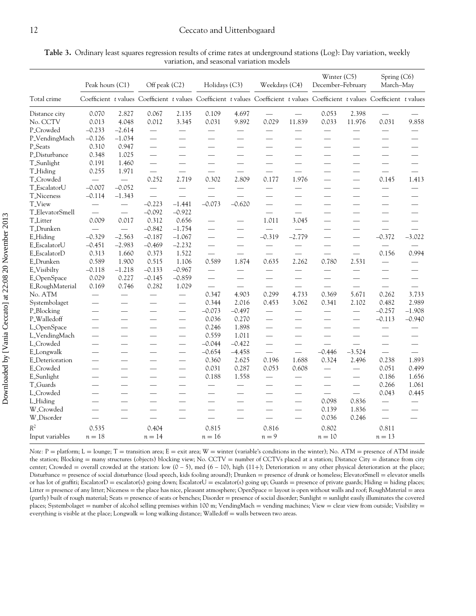**Table 3.** Ordinary least squares regression results of crime rates at underground stations (Log): Day variation, weekly variation, and seasonal variation models

|                            | Peak hours (C1)               |                                  | Off peak (C2)            |                          | Holidays (C3)                 |                          | Weekdays (C4)                                                                                                                 |                          | Winter $(C5)$<br>December-February |                                  | Spring (C6)<br>March-May         |                                 |
|----------------------------|-------------------------------|----------------------------------|--------------------------|--------------------------|-------------------------------|--------------------------|-------------------------------------------------------------------------------------------------------------------------------|--------------------------|------------------------------------|----------------------------------|----------------------------------|---------------------------------|
| Total crime                |                               |                                  |                          |                          |                               |                          | Coefficient t values Coefficient t values Coefficient t values Coefficient t values Coefficient t values Coefficient t values |                          |                                    |                                  |                                  |                                 |
| Distance city              | 0.070                         | 2.827                            | 0.067                    | 2.135                    | 0.109                         | 4.697                    | $\overline{\phantom{0}}$                                                                                                      | $\overline{\phantom{0}}$ | 0.053                              | 2.398                            |                                  |                                 |
| No. CCTV                   | 0.013                         | 4.048                            | 0.012                    | 3.345                    | 0.031                         | 9.892                    | 0.029                                                                                                                         | 11.839                   | 0.033                              | 11.976                           | 0.031                            | 9.858                           |
| P <sub>-Crowded</sub>      | $-0.233$                      | $-2.614$                         |                          |                          |                               |                          |                                                                                                                               |                          |                                    |                                  |                                  |                                 |
| P <sub>-</sub> VendingMach | $-0.126$                      | $-1.034$                         | $\overline{\phantom{0}}$ | $\overline{\phantom{0}}$ |                               |                          |                                                                                                                               | $\overline{\phantom{0}}$ |                                    |                                  |                                  | $\overline{\phantom{0}}$        |
| P_Seats                    | 0.310                         | 0.947                            | $\overline{\phantom{0}}$ |                          | $\overline{\phantom{0}}$      |                          |                                                                                                                               | $\overline{\phantom{0}}$ | $\overline{\phantom{0}}$           |                                  |                                  | $\overline{\phantom{0}}$        |
| P_Disturbance              | 0.348                         | 1.025                            | $\overline{\phantom{0}}$ |                          | $\overline{\phantom{0}}$      |                          |                                                                                                                               |                          |                                    |                                  |                                  |                                 |
| T_Sunlight                 | 0.191                         | 1.460                            | $\equiv$                 |                          |                               | $\overline{\phantom{0}}$ | $\overline{\phantom{0}}$                                                                                                      |                          |                                    |                                  |                                  | $\overline{\phantom{0}}$        |
| T_Hiding                   | 0.255                         | 1.971                            |                          | $\qquad \qquad$          |                               | $\qquad \qquad$          | $\overline{\phantom{0}}$                                                                                                      | $\overline{\phantom{0}}$ |                                    | $\overbrace{\phantom{12332}}$    |                                  | $\hspace{0.1mm}-\hspace{0.1mm}$ |
| T_Crowded                  |                               |                                  | 0.252                    | 2.719                    | 0.302                         | 2.809                    | 0.177                                                                                                                         | 1.976                    | $\qquad \qquad$                    | $\qquad \qquad$                  | 0.145                            | 1.413                           |
| T_EscalatorU               | $-0.007$                      | $-0.052$                         |                          |                          |                               |                          | $\overline{\phantom{0}}$                                                                                                      | $\overline{\phantom{0}}$ | $\overline{\phantom{0}}$           | $\overline{\phantom{0}}$         |                                  |                                 |
| <b>T_Niceness</b>          | $-0.114$                      | $-1.343$                         |                          | $\overline{\phantom{m}}$ |                               |                          |                                                                                                                               |                          |                                    | $\overbrace{\phantom{123321}}$   |                                  |                                 |
| <b>T_View</b>              | $\overline{\phantom{0}}$      | $\overbrace{\phantom{12322111}}$ | $-0.223$                 | $-1.441$                 | $-0.073$                      | $-0.620$                 |                                                                                                                               | $\overline{\phantom{0}}$ | $\overline{\phantom{0}}$           | $\overline{\phantom{0}}$         |                                  | $\overline{\phantom{0}}$        |
| T_ElevatorSmell            | $\overline{\phantom{0}}$      | $\qquad \qquad$                  | $-0.092$                 | $-0.922$                 |                               |                          | $\qquad \qquad$                                                                                                               | $\qquad \qquad$          | $\overline{\phantom{0}}$           |                                  |                                  | $\overline{\phantom{0}}$        |
| <b>T_Litter</b>            | 0.009                         | 0.017                            | 0.312                    | 0.656                    | $\overline{\phantom{0}}$      |                          | 1.011                                                                                                                         | 3.045                    |                                    |                                  |                                  |                                 |
| T <sub>-Drunken</sub>      | $\overbrace{\phantom{12333}}$ |                                  | $-0.842$                 | $-1.754$                 |                               |                          | $\overline{\phantom{0}}$                                                                                                      | --                       | $\overline{\phantom{0}}$           | $\overline{\phantom{0}}$         | $\overline{\phantom{0}}$         |                                 |
| E_Hiding                   | $-0.329$                      | $-2.563$                         | $-0.187$                 | $-1.067$                 | $\overline{\phantom{0}}$      | $\qquad \qquad$          | $-0.319$                                                                                                                      | $-2.779$                 | $\qquad \qquad$                    |                                  | $-0.372$                         | $-3.022$                        |
| E_EscalatorU               | $-0.451$                      | $-2.983$                         | $-0.469$                 | $-2.232$                 |                               | $\overline{\phantom{0}}$ |                                                                                                                               |                          |                                    | $\overline{\phantom{0}}$         |                                  |                                 |
| E_EscalatorD               | 0.313                         | 1.660                            | 0.373                    | 1.522                    |                               | $\overline{\phantom{0}}$ |                                                                                                                               |                          |                                    | $\qquad \qquad$                  | 0.156                            | 0.994                           |
| E_Drunken                  | 0.589                         | 1.900                            | 0.515                    | 1.106                    | 0.589                         | 1.874                    | 0.635                                                                                                                         | 2.262                    | 0.780                              | 2.531                            |                                  | $\overline{\phantom{0}}$        |
| E_Visibilty                | $-0.118$                      | $-1.218$                         | $-0.133$                 | $-0.967$                 | $\overbrace{\phantom{12333}}$ |                          |                                                                                                                               |                          |                                    |                                  |                                  |                                 |
| E <sub>-Open</sub> Space   | 0.029                         | 0.227                            | $-0.145$                 | $-0.859$                 | $\overline{\phantom{0}}$      | $\overline{\phantom{0}}$ | $\overline{\phantom{0}}$                                                                                                      | $\overline{\phantom{0}}$ | $\overline{\phantom{0}}$           |                                  |                                  | $\overline{\phantom{0}}$        |
| E_RoughMaterial            | 0.169                         | 0.746                            | 0.282                    | 1.029                    |                               |                          | $\overline{\phantom{0}}$                                                                                                      |                          | $\overline{\phantom{m}}$           | $\overline{\phantom{m}}$         |                                  |                                 |
| No. ATM                    |                               |                                  |                          | $\qquad \qquad$          | 0.347                         | 4.903                    | 0.299                                                                                                                         | 4.733                    | 0.369                              | 5.671                            | 0.262                            | 3.733                           |
| Systembolaget              |                               |                                  | —                        | $\overline{\phantom{0}}$ | 0.344                         | 2.016                    | 0.453                                                                                                                         | 3.062                    | 0.341                              | 2.102                            | 0.482                            | 2.989                           |
| P_Blocking                 |                               |                                  |                          |                          | $-0.073$                      | $-0.497$                 |                                                                                                                               |                          |                                    |                                  | $-0.257$                         | $-1.908$                        |
| P_Walledoff                |                               | $\overline{\phantom{0}}$         | $\overline{\phantom{0}}$ | $\overline{\phantom{0}}$ | 0.036                         | 0.270                    |                                                                                                                               | $\overline{\phantom{0}}$ |                                    |                                  | $-0.113$                         | $-0.940$                        |
| L_OpenSpace                |                               |                                  | $\overline{\phantom{0}}$ | $\overline{\phantom{0}}$ | 0.246                         | 1.898                    | $\overline{\phantom{0}}$                                                                                                      | $\overline{\phantom{0}}$ |                                    |                                  | $\overbrace{\phantom{12322111}}$ |                                 |
| L_VendingMach              |                               | $\overline{\phantom{0}}$         | $\overline{\phantom{0}}$ |                          | 0.559                         | 1.011                    | $\overline{\phantom{0}}$                                                                                                      |                          |                                    |                                  | $\overline{\phantom{m}}$         |                                 |
| L_Crowded                  |                               |                                  |                          |                          | $-0.044$                      | $-0.422$                 |                                                                                                                               | $\overline{\phantom{0}}$ | $\overline{\phantom{0}}$           | $\overline{\phantom{0}}$         |                                  |                                 |
| E_Longwalk                 |                               | $\overline{\phantom{0}}$         | $\overline{\phantom{0}}$ |                          | $-0.654$                      | $-4.458$                 | $\equiv$                                                                                                                      | $\overline{\phantom{0}}$ | $-0.446$                           | $-3.524$                         |                                  |                                 |
| <b>E</b> _Deterioration    |                               | $\overline{\phantom{0}}$         | $\overline{\phantom{0}}$ |                          | 0.360                         | 2.625                    | 0.196                                                                                                                         | 1.688                    | 0.324                              | 2.496                            | 0.238                            | 1.893                           |
| E_Crowded                  |                               |                                  |                          |                          | 0.031                         | 0.287                    | 0.053                                                                                                                         | 0.608                    |                                    |                                  | 0.051                            | 0.499                           |
| <b>E_Sunlight</b>          |                               | —                                |                          |                          | 0.188                         | 1.558                    |                                                                                                                               |                          |                                    | $\overbrace{\phantom{123321}}$   | 0.186                            | 1.656                           |
| T_Guards                   | $\overline{\phantom{0}}$      | $\overline{\phantom{0}}$         | $\overline{\phantom{0}}$ |                          |                               |                          |                                                                                                                               |                          |                                    | $\overbrace{\phantom{12322111}}$ | 0.266                            | 1.061                           |
|                            |                               | $\overline{\phantom{0}}$         | $\overline{\phantom{0}}$ |                          |                               |                          |                                                                                                                               |                          |                                    | $\qquad \qquad$                  | 0.043                            | 0.445                           |
| L_Crowded                  |                               | $\overline{\phantom{0}}$         |                          |                          |                               | $\overline{\phantom{0}}$ |                                                                                                                               | $\overline{\phantom{0}}$ |                                    |                                  |                                  |                                 |
| L_Hiding                   |                               |                                  |                          |                          |                               |                          |                                                                                                                               |                          | 0.098                              | 0.836                            |                                  | $\overline{\phantom{m}}$        |
| W_Crowded                  |                               |                                  | $\overline{\phantom{0}}$ |                          |                               |                          |                                                                                                                               | $\overline{\phantom{0}}$ | 0.139                              | 1.836                            |                                  |                                 |
| W_Disorder                 |                               |                                  | $\overline{\phantom{0}}$ |                          | $\overline{\phantom{0}}$      |                          | $\overline{\phantom{0}}$                                                                                                      |                          | 0.036                              | 0.246                            | $\overline{\phantom{0}}$         | $\overline{\phantom{0}}$        |
| $R^2$                      | 0.535                         |                                  | 0.404                    |                          | 0.815                         |                          | 0.816                                                                                                                         |                          | 0.802                              |                                  | 0.811                            |                                 |
| Input variables            | $n = 18$                      |                                  | $n = 14$                 |                          | $n = 16$                      |                          | $n = 9$                                                                                                                       |                          | $n = 10$                           |                                  | $n = 13$                         |                                 |

*Note:*  $P =$  platform;  $L =$  lounge;  $T =$  transition area;  $E =$  exit area;  $W =$  winter (variable's conditions in the winter); No.  $ATM =$  presence of ATM inside the station; Blocking = many structures (objects) blocking view; No. CCTV = number of CCTVs placed at a station; Distance City = distance from city center; Crowded = overall crowded at the station: low  $(0 - 5)$ , med  $(6 - 10)$ , high  $(11+)$ ; Deterioration = any other physical deterioration at the place; Disturbance = presence of social disturbance (loud speech, kids fooling around); Drunken = presence of drunk or homeless; ElevatorSmell = elevator smells or has lot of graffiti; EscalatorD = escalator(s) going down; EscalatorU = escalator(s) going up; Guards = presence of private guards; Hiding = hiding places; Litter = presence of any litter; Niceness = the place has nice, pleasant atmosphere; OpenSpace = layout is open without walls and roof; RoughMaterial = area (partly) built of rough material; Seats = presence of seats or benches; Disorder = presence of social disorder; Sunlight = sunlight easily illuminates the covered places; Systembolaget = number of alcohol selling premises within 100 m; VendingMach = vending machines; View = clear view from outside; Visibility = everything is visible at the place; Longwalk = long walking distance; Walledoff = walls between two areas.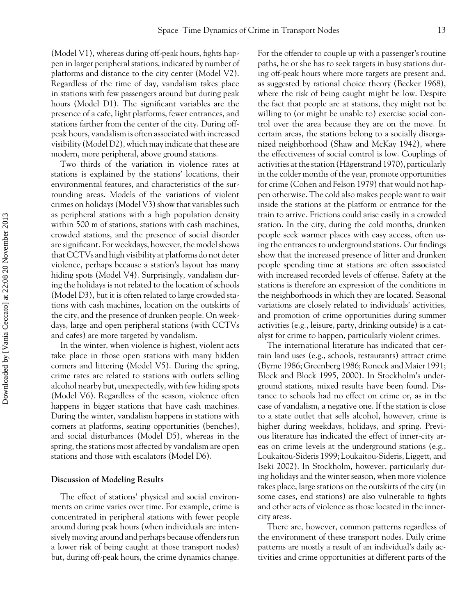(Model V1), whereas during off-peak hours, fights happen in larger peripheral stations, indicated by number of platforms and distance to the city center (Model V2). Regardless of the time of day, vandalism takes place in stations with few passengers around but during peak hours (Model D1). The significant variables are the presence of a cafe, light platforms, fewer entrances, and stations farther from the center of the city. During offpeak hours, vandalism is often associated with increased visibility (Model D2), which may indicate that these are modern, more peripheral, above ground stations.

Two thirds of the variation in violence rates at stations is explained by the stations' locations, their environmental features, and characteristics of the surrounding areas. Models of the variations of violent crimes on holidays (Model V3) show that variables such as peripheral stations with a high population density within 500 m of stations, stations with cash machines, crowded stations, and the presence of social disorder are significant. For weekdays, however, the model shows that CCTVs and high visibility at platforms do not deter violence, perhaps because a station's layout has many hiding spots (Model V4). Surprisingly, vandalism during the holidays is not related to the location of schools (Model D3), but it is often related to large crowded stations with cash machines, location on the outskirts of the city, and the presence of drunken people. On weekdays, large and open peripheral stations (with CCTVs and cafes) are more targeted by vandalism.

In the winter, when violence is highest, violent acts take place in those open stations with many hidden corners and littering (Model V5). During the spring, crime rates are related to stations with outlets selling alcohol nearby but, unexpectedly, with few hiding spots (Model V6). Regardless of the season, violence often happens in bigger stations that have cash machines. During the winter, vandalism happens in stations with corners at platforms, seating opportunities (benches), and social disturbances (Model D5), whereas in the spring, the stations most affected by vandalism are open stations and those with escalators (Model D6).

#### **Discussion of Modeling Results**

The effect of stations' physical and social environments on crime varies over time. For example, crime is concentrated in peripheral stations with fewer people around during peak hours (when individuals are intensively moving around and perhaps because offenders run a lower risk of being caught at those transport nodes) but, during off-peak hours, the crime dynamics change. For the offender to couple up with a passenger's routine paths, he or she has to seek targets in busy stations during off-peak hours where more targets are present and, as suggested by rational choice theory (Becker 1968), where the risk of being caught might be low. Despite the fact that people are at stations, they might not be willing to (or might be unable to) exercise social control over the area because they are on the move. In certain areas, the stations belong to a socially disorganized neighborhood (Shaw and McKay 1942), where the effectiveness of social control is low. Couplings of activities at the station (Hägerstrand 1970), particularly in the colder months of the year, promote opportunities for crime (Cohen and Felson 1979) that would not happen otherwise. The cold also makes people want to wait inside the stations at the platform or entrance for the train to arrive. Frictions could arise easily in a crowded station. In the city, during the cold months, drunken people seek warmer places with easy access, often using the entrances to underground stations. Our findings show that the increased presence of litter and drunken people spending time at stations are often associated with increased recorded levels of offense. Safety at the stations is therefore an expression of the conditions in the neighborhoods in which they are located. Seasonal variations are closely related to individuals' activities, and promotion of crime opportunities during summer activities (e.g., leisure, party, drinking outside) is a catalyst for crime to happen, particularly violent crimes.

The international literature has indicated that certain land uses (e.g., schools, restaurants) attract crime (Byrne 1986; Greenberg 1986; Roneck and Maier 1991; Block and Block 1995, 2000). In Stockholm's underground stations, mixed results have been found. Distance to schools had no effect on crime or, as in the case of vandalism, a negative one. If the station is close to a state outlet that sells alcohol, however, crime is higher during weekdays, holidays, and spring. Previous literature has indicated the effect of inner-city areas on crime levels at the underground stations (e.g., Loukaitou-Sideris 1999; Loukaitou-Sideris, Liggett, and Iseki 2002). In Stockholm, however, particularly during holidays and the winter season, when more violence takes place, large stations on the outskirts of the city (in some cases, end stations) are also vulnerable to fights and other acts of violence as those located in the innercity areas.

There are, however, common patterns regardless of the environment of these transport nodes. Daily crime patterns are mostly a result of an individual's daily activities and crime opportunities at different parts of the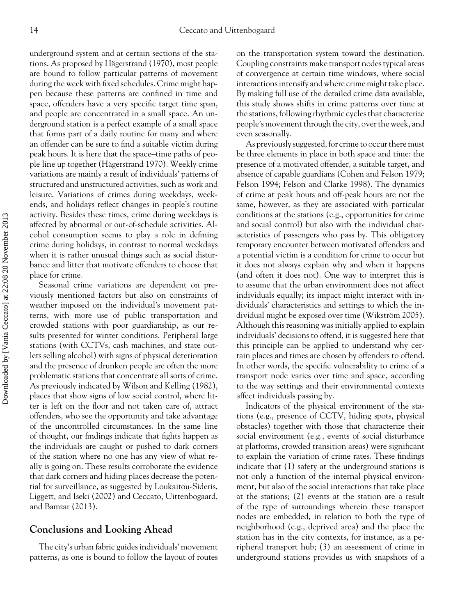underground system and at certain sections of the stations. As proposed by Hägerstrand (1970), most people are bound to follow particular patterns of movement during the week with fixed schedules. Crime might happen because these patterns are confined in time and space, offenders have a very specific target time span, and people are concentrated in a small space. An underground station is a perfect example of a small space that forms part of a daily routine for many and where an offender can be sure to find a suitable victim during peak hours. It is here that the space–time paths of people line up together (Hägerstrand 1970). Weekly crime variations are mainly a result of individuals' patterns of structured and unstructured activities, such as work and leisure. Variations of crimes during weekdays, weekends, and holidays reflect changes in people's routine activity. Besides these times, crime during weekdays is affected by abnormal or out-of-schedule activities. Alcohol consumption seems to play a role in defining crime during holidays, in contrast to normal weekdays when it is rather unusual things such as social disturbance and litter that motivate offenders to choose that place for crime.

Seasonal crime variations are dependent on previously mentioned factors but also on constraints of weather imposed on the individual's movement patterns, with more use of public transportation and crowded stations with poor guardianship, as our results presented for winter conditions. Peripheral large stations (with CCTVs, cash machines, and state outlets selling alcohol) with signs of physical deterioration and the presence of drunken people are often the more problematic stations that concentrate all sorts of crime. As previously indicated by Wilson and Kelling (1982), places that show signs of low social control, where litter is left on the floor and not taken care of, attract offenders, who see the opportunity and take advantage of the uncontrolled circumstances. In the same line of thought, our findings indicate that fights happen as the individuals are caught or pushed to dark corners of the station where no one has any view of what really is going on. These results corroborate the evidence that dark corners and hiding places decrease the potential for surveillance, as suggested by Loukaitou-Sideris, Liggett, and Iseki (2002) and Ceccato, Uittenbogaard, and Bamzar (2013).

### **Conclusions and Looking Ahead**

The city's urban fabric guides individuals' movement patterns, as one is bound to follow the layout of routes on the transportation system toward the destination. Coupling constraints make transport nodes typical areas of convergence at certain time windows, where social interactions intensify and where crime might take place. By making full use of the detailed crime data available, this study shows shifts in crime patterns over time at the stations, following rhythmic cycles that characterize people's movement through the city, over the week, and even seasonally.

As previously suggested, for crime to occur there must be three elements in place in both space and time: the presence of a motivated offender, a suitable target, and absence of capable guardians (Cohen and Felson 1979; Felson 1994; Felson and Clarke 1998). The dynamics of crime at peak hours and off-peak hours are not the same, however, as they are associated with particular conditions at the stations (e.g., opportunities for crime and social control) but also with the individual characteristics of passengers who pass by. This obligatory temporary encounter between motivated offenders and a potential victim is a condition for crime to occur but it does not always explain why and when it happens (and often it does not). One way to interpret this is to assume that the urban environment does not affect individuals equally; its impact might interact with individuals' characteristics and settings to which the individual might be exposed over time (Wikström 2005). Although this reasoning was initially applied to explain individuals' decisions to offend, it is suggested here that this principle can be applied to understand why certain places and times are chosen by offenders to offend. In other words, the specific vulnerability to crime of a transport node varies over time and space, according to the way settings and their environmental contexts affect individuals passing by.

Indicators of the physical environment of the stations (e.g., presence of CCTV, hiding spots, physical obstacles) together with those that characterize their social environment (e.g., events of social disturbance at platforms, crowded transition areas) were significant to explain the variation of crime rates. These findings indicate that (1) safety at the underground stations is not only a function of the internal physical environment, but also of the social interactions that take place at the stations; (2) events at the station are a result of the type of surroundings wherein these transport nodes are embedded, in relation to both the type of neighborhood (e.g., deprived area) and the place the station has in the city contexts, for instance, as a peripheral transport hub; (3) an assessment of crime in underground stations provides us with snapshots of a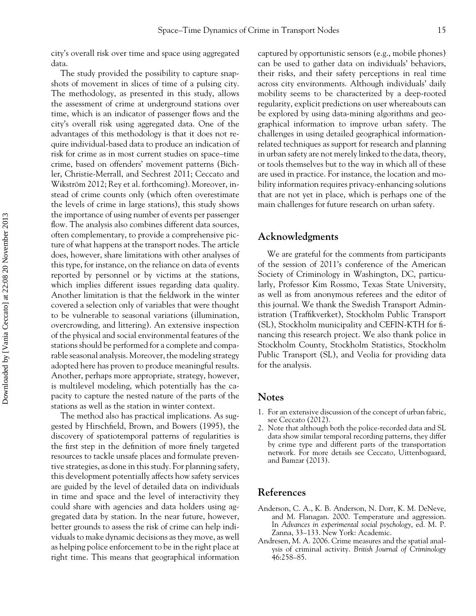city's overall risk over time and space using aggregated data.

The study provided the possibility to capture snapshots of movement in slices of time of a pulsing city. The methodology, as presented in this study, allows the assessment of crime at underground stations over time, which is an indicator of passenger flows and the city's overall risk using aggregated data. One of the advantages of this methodology is that it does not require individual-based data to produce an indication of risk for crime as in most current studies on space–time crime, based on offenders' movement patterns (Bichler, Christie-Merrall, and Sechrest 2011; Ceccato and Wikström 2012; Rey et al. forthcoming). Moreover, instead of crime counts only (which often overestimate the levels of crime in large stations), this study shows the importance of using number of events per passenger flow. The analysis also combines different data sources, often complementary, to provide a comprehensive picture of what happens at the transport nodes. The article does, however, share limitations with other analyses of this type, for instance, on the reliance on data of events reported by personnel or by victims at the stations, which implies different issues regarding data quality. Another limitation is that the fieldwork in the winter covered a selection only of variables that were thought to be vulnerable to seasonal variations (illumination, overcrowding, and littering). An extensive inspection of the physical and social environmental features of the stations should be performed for a complete and comparable seasonal analysis. Moreover, the modeling strategy adopted here has proven to produce meaningful results. Another, perhaps more appropriate, strategy, however, is multilevel modeling, which potentially has the capacity to capture the nested nature of the parts of the stations as well as the station in winter context.

The method also has practical implications. As suggested by Hirschfield, Brown, and Bowers (1995), the discovery of spatiotemporal patterns of regularities is the first step in the definition of more finely targeted resources to tackle unsafe places and formulate preventive strategies, as done in this study. For planning safety, this development potentially affects how safety services are guided by the level of detailed data on individuals in time and space and the level of interactivity they could share with agencies and data holders using aggregated data by station. In the near future, however, better grounds to assess the risk of crime can help individuals to make dynamic decisions as they move, as well as helping police enforcement to be in the right place at right time. This means that geographical information captured by opportunistic sensors (e.g., mobile phones) can be used to gather data on individuals' behaviors, their risks, and their safety perceptions in real time across city environments. Although individuals' daily mobility seems to be characterized by a deep-rooted regularity, explicit predictions on user whereabouts can be explored by using data-mining algorithms and geographical information to improve urban safety. The challenges in using detailed geographical informationrelated techniques as support for research and planning in urban safety are not merely linked to the data, theory, or tools themselves but to the way in which all of these are used in practice. For instance, the location and mobility information requires privacy-enhancing solutions that are not yet in place, which is perhaps one of the main challenges for future research on urban safety.

### **Acknowledgments**

We are grateful for the comments from participants of the session of 2011's conference of the American Society of Criminology in Washington, DC, particularly, Professor Kim Rossmo, Texas State University, as well as from anonymous referees and the editor of this journal. We thank the Swedish Transport Administration (Traffikverket), Stockholm Public Transport (SL), Stockholm municipality and CEFIN-KTH for financing this research project. We also thank police in Stockholm County, Stockholm Statistics, Stockholm Public Transport (SL), and Veolia for providing data for the analysis.

#### **Notes**

- 1. For an extensive discussion of the concept of urban fabric, see Ceccato (2012).
- 2. Note that although both the police-recorded data and SL data show similar temporal recording patterns, they differ by crime type and different parts of the transportation network. For more details see Ceccato, Uittenbogaard, and Bamzar (2013).

### **References**

- Anderson, C. A., K. B. Anderson, N. Dorr, K. M. DeNeve, and M. Flanagan. 2000. Temperature and aggression. In *Advances in experimental social psychology*, ed. M. P. Zanna, 33–133. New York: Academic.
- Andresen, M. A. 2006. Crime measures and the spatial analysis of criminal activity. *British Journal of Criminology* 46:258–85.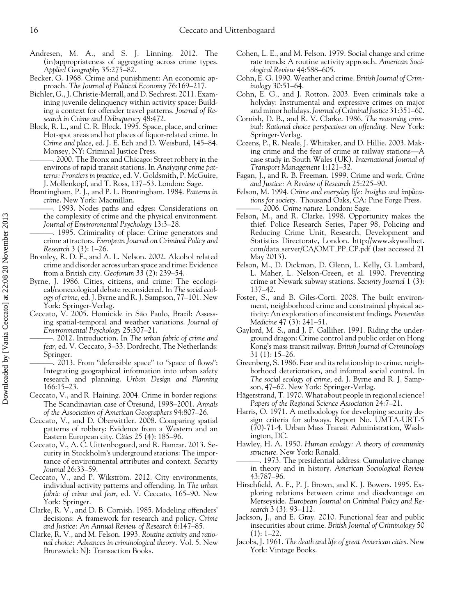- Andresen, M. A., and S. J. Linning. 2012. The (in)appropriateness of aggregating across crime types. *Applied Geography* 35:275–82.
- Becker, G. 1968. Crime and punishment: An economic approach. *The Journal of Political Economy* 76:169–217.
- Bichler, G., J. Christie-Merrall, and D. Sechrest. 2011. Examining juvenile delinquency within activity space: Building a context for offender travel patterns. *Journal of Research in Crime and Delinquency* 48:472.
- Block, R. L., and C. R. Block. 1995. Space, place, and crime: Hot-spot areas and hot places of liquor-related crime. In *Crime and place*, ed. J. E. Ech and D. Weisburd, 145–84. Monsey, NY: Criminal Justice Press.
- . 2000. The Bronx and Chicago: Street robbery in the environs of rapid transit stations. In *Analyzing crime patterns: Frontiers in practice,* ed. V. Goldsmith, P. McGuire, J. Mollenkopf, and T. Ross, 137–53. London: Sage.
- Brantingham, P. J., and P. L. Brantingham. 1984. *Patterns in crime*. New York: Macmillan.
- ———. 1993. Nodes paths and edges: Considerations on the complexity of crime and the physical environment. *Journal of Environmental Psychology* 13:3–28.
- ———. 1995. Criminality of place: Crime generators and crime attractors. *European Journal on Criminal Policy and Research* 3 (3): 1–26.
- Bromley, R. D. F., and A. L. Nelson. 2002. Alcohol related crime and disorder across urban space and time: Evidence from a British city. *Geoforum* 33 (2): 239–54.
- Byrne, J. 1986. Cities, citizens, and crime: The ecological/nonecological debate reconsidered. In *The social ecology of crime*, ed. J. Byrne and R. J. Sampson, 77–101. New York: Springer-Verlag.
- Ceccato, V. 2005. Homicide in São Paulo, Brazil: Assessing spatial-temporal and weather variations. *Journal of Environmental Psychology* 25:307–21.
	- ———. 2012. Introduction. In *The urban fabric of crime and fear*, ed. V. Ceccato, 3–33. Dordrecht, The Netherlands: Springer.
- 2013. From "defensible space" to "space of flows": Integrating geographical information into urban safety research and planning. *Urban Design and Planning* 166:15–23.
- Ceccato, V., and R. Haining. 2004. Crime in border regions: The Scandinavian case of Oresund, 1998–2001. Annals *of the Association of American Geographers* 94:807–26.
- Ceccato, V., and D. Oberwittler. 2008. Comparing spatial patterns of robbery: Evidence from a Western and an Eastern European city. *Cities* 25 (4): 185–96.
- Ceccato, V., A. C. Uittenbogaard, and R. Bamzar. 2013. Security in Stockholm's underground stations: The importance of environmental attributes and context. *Security Journal* 26:33–59.
- Ceccato, V., and P. Wikström. 2012. City environments, individual activity patterns and offending. In *The urban fabric of crime and fear*, ed. V. Ceccato, 165–90. New York: Springer.
- Clarke, R. V., and D. B. Cornish. 1985. Modeling offenders' decisions: A framework for research and policy. *Crime and Justice: An Annual Review of Research* 6:147–85.
- Clarke, R. V., and M. Felson. 1993. *Routine activity and rational choice: Advances in criminological theory.* Vol. 5. New Brunswick: NJ: Transaction Books.
- Cohen, L. E., and M. Felson. 1979. Social change and crime rate trends: A routine activity approach. *American Sociological Review* 44:588–605.
- Cohn, E. G. 1990. Weather and crime. *British Journal of Criminology* 30:51–64.
- Cohn, E. G., and J. Rotton. 2003. Even criminals take a holyday: Instrumental and expressive crimes on major and minor holidays.*Journal of Criminal Justice* 31:351–60.
- Cornish, D. B., and R. V. Clarke. 1986. *The reasoning criminal: Rational choice perspectives on offending.* New York: Springer-Verlag.
- Cozens, P., R. Neale, J. Whitaker, and D. Hillie. 2003. Making crime and the fear of crime at railway stations—A case study in South Wales (UK). *International Journal of Transport Management* 1:121–32.
- Fagan, J., and R. B. Freeman. 1999. Crime and work. *Crime and Justice: A Review of Research* 25:225–90.
- Felson, M. 1994. *Crime and everyday life: Insights and implications for society.* Thousand Oaks, CA: Pine Forge Press. ———. 2006. *Crime nature*. London: Sage.
- Felson, M., and R. Clarke. 1998. Opportunity makes the thief. Police Research Series, Paper 98, Policing and Reducing Crime Unit, Research, Development and Statistics Directorate, London. http://www.skywallnet. com/data\_server/CA/OMT\_PP\_CP.pdf (last accessed 21 May 2013).
- Felson, M., D. Dickman, D. Glenn, L. Kelly, G. Lambard, L. Maher, L. Nelson-Green, et al. 1990. Preventing crime at Newark subway stations. *Security Journal* 1 (3): 137–42.
- Foster, S., and B. Giles-Corti. 2008. The built environment, neighborhood crime and constrained physical activity: An exploration of inconsistent findings. *Preventive Medicine* 47 (3): 241–51.
- Gaylord, M. S., and J. F. Galliher. 1991. Riding the underground dragon: Crime control and public order on Hong Kong's mass transit railway. *British Journal of Criminology* 31 (1): 15–26.
- Greenberg, S. 1986. Fear and its relationship to crime, neighborhood deterioration, and informal social control. In *The social ecology of crime*, ed. J. Byrne and R. J. Sampson, 47–62. New York: Springer-Verlag.
- Hägerstrand, T. 1970. What about people in regional science? *Papers of the Regional Science Association* 24:7–21.
- Harris, O. 1971. A methodology for developing security design criteria for subways. Report No. UMTA-URT-5 (70)-71-4. Urban Mass Transit Administration, Washington, DC.
- Hawley, H. A. 1950. *Human ecology: A theory of community structure*. New York: Ronald.
- ———. 1973. The presidential address: Cumulative change in theory and in history. *American Sociological Review* 43:787–96.
- Hirschfield, A. F., P. J. Brown, and K. J. Bowers. 1995. Exploring relations between crime and disadvantage on Merseyside. *European Journal on Criminal Policy and Research* 3 (3): 93–112.
- Jackson, J., and E. Gray. 2010. Functional fear and public insecurities about crime. *British Journal of Criminology* 50  $(1): 1-22.$
- Jacobs, J. 1961. *The death and life of great American cities*. New York: Vintage Books.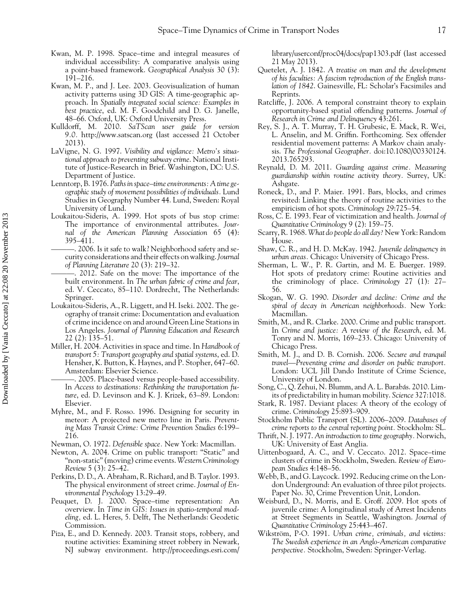- Kwan, M. P. 1998. Space–time and integral measures of individual accessibility: A comparative analysis using a point-based framework. *Geographical Analysis* 30 (3): 191–216.
- Kwan, M. P., and J. Lee. 2003. Geovisualization of human activity patterns using 3D GIS: A time-geographic approach. In *Spatially integrated social science: Examples in best practice*, ed. M. F. Goodchild and D. G. Janelle, 48–66. Oxford, UK: Oxford University Press.
- Kulldorff, M. 2010. *SaTScan user guide for version 9.0.* http://www.satscan.org (last accessed 21 October 2013).
- LaVigne, N. G. 1997. *Visibility and vigilance: Metro's situational approach to preventing subway crime*. National Institute of Justice-Research in Brief. Washington, DC: U.S. Department of Justice.
- Lenntorp, B. 1976. *Paths in space–time environments: A time geographic study of movement possibilities of individuals.* Lund Studies in Geography Number 44. Lund, Sweden: Royal University of Lund.
- Loukaitou-Sideris, A. 1999. Hot spots of bus stop crime: The importance of environmental attributes. *Journal of the American Planning Association* 65 (4): 395–411.
- ———. 2006. Is it safe to walk? Neighborhood safety and security considerations and their effects on walking.*Journal of Planning Literature* 20 (3): 219–32.
- 2012. Safe on the move: The importance of the built environment. In *The urban fabric of crime and fear*, ed. V. Ceccato, 85–110. Dordrecht, The Netherlands: Springer.
- Loukaitou-Sideris, A., R. Liggett, and H. Iseki. 2002. The geography of transit crime: Documentation and evaluation of crime incidence on and around Green Line Stations in Los Angeles. *Journal of Planning Education and Research* 22 (2): 135–51.
- Miller, H. 2004. Activities in space and time. In *Handbook of transport 5: Transport geography and spatial systems*, ed. D. Hensher, K. Button, K. Haynes, and P. Stopher, 647–60. Amsterdam: Elsevier Science.
- 2005. Place-based versus people-based accessibility. In *Access to destinations: Rethinking the transportation future*, ed. D. Levinson and K. J. Krizek, 63–89. London: Elsevier.
- Myhre, M., and F. Rosso. 1996. Designing for security in meteor: A projected new metro line in Paris. *Preventing Mass Transit Crime: Crime Prevention Studies* 6:199– 216.
- Newman, O. 1972. *Defensible space.* New York: Macmillan.
- Newton, A. 2004. Crime on public transport: "Static" and "non-static" (moving) crime events. *Western Criminology Review* 5 (3): 25–42.
- Perkins, D. D., A. Abraham, R. Richard, and B. Taylor. 1993. The physical environment of street crime. *Journal of Environmental Psychology* 13:29–49.
- Peuquet, D. J. 2000. Space–time representation: An overview. In *Time in GIS: Issues in spatio-temporal modeling,* ed. L. Heres, 5. Delft, The Netherlands: Geodetic Commission.
- Piza, E., and D. Kennedy. 2003. Transit stops, robbery, and routine activities: Examining street robbery in Newark, NJ subway environment. http://proceedings.esri.com/

library/userconf/proc04/docs/pap1303.pdf (last accessed 21 May 2013).

- Quetelet, A. J. 1842. *A treatise on man and the development of his faculties: A fascism reproduction of the English translation of 1842*. Gainesville, FL: Scholar's Facsimiles and Reprints.
- Ratcliffe, J. 2006. A temporal constraint theory to explain opportunity-based spatial offending patterns. *Journal of Research in Crime and Delinquency* 43:261.
- Rey, S. J., A. T. Murray, T. H. Grubesic, E. Mack, R. Wei, L. Anselin, and M. Griffin. Forthcoming. Sex offender residential movement patterns: A Markov chain analysis. *The Professional Geographer.* doi:10.1080/00330124. 2013.765293.
- Reynald, D. M. 2011. *Guarding against crime. Measuring guardianship within routine activity theory.* Surrey, UK: Ashgate.
- Roneck, D., and P. Maier. 1991. Bars, blocks, and crimes revisited: Linking the theory of routine activities to the empiricism of hot spots. *Criminology* 29:725–54.
- Ross, C. E. 1993. Fear of victimization and health. *Journal of Quantitative Criminology* 9 (2): 159–75.
- Scarry, R. 1968. *What do people do all day?* New York: Random House.
- Shaw, C. R., and H. D. McKay. 1942. *Juvenile delinquency in urban areas.* Chicago: University of Chicago Press.
- Sherman, L. W., P. R. Gartin, and M. E. Buerger. 1989. Hot spots of predatory crime: Routine activities and the criminology of place. *Criminology* 27 (1): 27– 56.
- Skogan, W. G. 1990. *Disorder and decline: Crime and the spiral of decay in American neighborhoods.* New York: Macmillan.
- Smith, M., and R. Clarke. 2000. Crime and public transport. In *Crime and justice: A review of the Research*, ed. M. Tonry and N. Morris, 169–233. Chicago: University of Chicago Press.
- Smith, M. J., and D. B. Cornish. 2006. *Secure and tranquil travel—Preventing crime and disorder on public transport.* London: UCL Jill Dando Institute of Crime Science, University of London.
- Song, C., Q. Zehui, N. Blumm, and A. L. Barabás. 2010. Limits of predictability in human mobility. *Science* 327:1018.
- Stark, R. 1987. Deviant places: A theory of the ecology of crime. *Criminology* 25:893–909.
- Stockholm Public Transport (SL). 2006–2009. *Databases of crime reports to the central reporting point.* Stockholm: SL.
- Thrift, N. J. 1977. *An introduction to time geography.* Norwich, UK: University of East Anglia.
- Uittenbogaard, A. C., and V. Ceccato. 2012. Space–time clusters of crime in Stockholm, Sweden. *Review of European Studies* 4:148–56.
- Webb, B., and G. Laycock. 1992. Reducing crime on the London Underground: An evaluation of three pilot projects. Paper No. 30, Crime Prevention Unit, London.
- Weisburd, D., N. Morris, and E. Groff. 2009. Hot spots of juvenile crime: A longitudinal study of Arrest Incidents at Street Segments in Seattle, Washington. *Journal of Quantitative Criminology* 25:443–467.
- Wikström, P-O. 1991. Urban crime, criminals, and victims: *The Swedish experience in an Anglo-American comparative perspective.* Stockholm, Sweden: Springer-Verlag.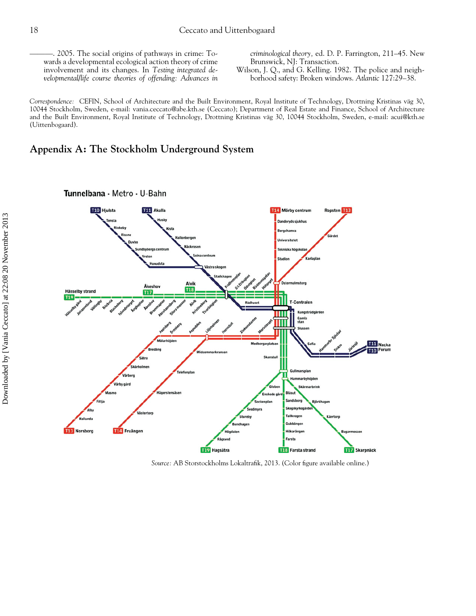———. 2005. The social origins of pathways in crime: Towards a developmental ecological action theory of crime involvement and its changes. In *Testing integrated developmental/life course theories of offending: Advances in* *criminological theory,* ed. D. P. Farrington, 211–45. New Brunswick, NJ: Transaction.

Wilson, J. Q., and G. Kelling. 1982. The police and neighborhood safety: Broken windows. *Atlantic* 127:29–38.

Correspondence: CEFIN, School of Architecture and the Built Environment, Royal Institute of Technology, Drottning Kristinas väg 30, 10044 Stockholm, Sweden, e-mail: vania.ceccato@abe.kth.se (Ceccato); Department of Real Estate and Finance, School of Architecture and the Built Environment, Royal Institute of Technology, Drottning Kristinas väg 30, 10044 Stockholm, Sweden, e-mail: acui@kth.se (Uittenbogaard).

# **Appendix A: The Stockholm Underground System**

Tunnelbana · Metro · U-Bahn



*Source:* AB Storstockholms Lokaltrafik, 2013. (Color figure available online.)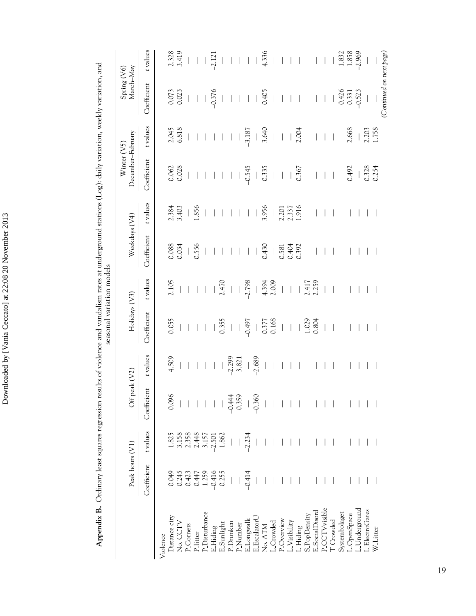Downloaded by [Vania Ceccato] at 22:08 20 November 2013 Downloaded by [Vania Ceccato] at 22:08 20 November 2013 Appendix B. Ordinary least squares regression results of violence and vandalism rates at underground stations (Log): daily variation, weekly variation, and **Appendix B.** Ordinary least squares regression results of violence and vandalism rates at underground stations (Log): daily variation, weekly variation, and seasonal variation models

|                                                                                                                                                                            | Peak hours $(V1)$                         |                                                                                    | Off peak (V2)     |                   | Holidays (V3)                                                      |                                       | Weekdays (V4)                         |                          | December-February<br>Winter (V5) |                                       | March-May<br>Spring (V6)                                    |                          |
|----------------------------------------------------------------------------------------------------------------------------------------------------------------------------|-------------------------------------------|------------------------------------------------------------------------------------|-------------------|-------------------|--------------------------------------------------------------------|---------------------------------------|---------------------------------------|--------------------------|----------------------------------|---------------------------------------|-------------------------------------------------------------|--------------------------|
|                                                                                                                                                                            | Coefficient                               | t values                                                                           | Coefficient       | t values          | Coefficient                                                        | t values                              | Coefficient                           | t values                 | Coefficient                      | t values                              | Coefficient                                                 | t values                 |
| Violence                                                                                                                                                                   |                                           |                                                                                    |                   |                   |                                                                    |                                       |                                       |                          |                                  |                                       |                                                             |                          |
|                                                                                                                                                                            |                                           |                                                                                    | 0.096             | 4.509             | 0.055                                                              | 2.105                                 |                                       |                          |                                  |                                       |                                                             |                          |
| Distance city<br>No. CCTV<br>P_Corners<br>P_liter                                                                                                                          | 0.049<br>0.245<br>0.247<br>0.255<br>0.255 | $\begin{array}{c} 1.825 \\ 3.158 \\ 2.358 \\ 2.448 \\ -2.501 \\ 1.862 \end{array}$ |                   |                   |                                                                    |                                       | 0.034                                 | 2.384<br>3.403           | 0.062<br>0.028                   | 2.045<br>6.818                        | 0.073                                                       | 2.328<br>3.419           |
|                                                                                                                                                                            |                                           |                                                                                    |                   |                   |                                                                    |                                       |                                       |                          |                                  |                                       |                                                             |                          |
|                                                                                                                                                                            |                                           |                                                                                    |                   |                   |                                                                    |                                       | 0.556                                 | 1.856                    | $\overline{\phantom{a}}$         | $\begin{array}{c} \hline \end{array}$ | $\begin{array}{c} \begin{array}{c} \end{array} \end{array}$ | $\bar{\mathbb{L}}$       |
| ? Disturbance                                                                                                                                                              |                                           |                                                                                    |                   |                   |                                                                    | $\overline{\phantom{a}}$              |                                       |                          |                                  |                                       | $\begin{array}{c} \hline \end{array}$                       |                          |
|                                                                                                                                                                            |                                           |                                                                                    |                   |                   |                                                                    |                                       |                                       |                          |                                  |                                       | $-0.376$                                                    | 2.121                    |
|                                                                                                                                                                            |                                           |                                                                                    |                   |                   | 0.355                                                              | 2.470                                 |                                       |                          |                                  |                                       |                                                             | $\overline{1}$           |
|                                                                                                                                                                            |                                           | $\begin{array}{c} \end{array}$                                                     | $-0.444$<br>0.359 | $-2.299$<br>3.821 | $\bigg  \bigg $                                                    | $\bar{\bar{1}}$                       |                                       |                          | $\vert$                          |                                       |                                                             |                          |
|                                                                                                                                                                            |                                           |                                                                                    |                   |                   | $\overline{\phantom{a}}$                                           | $\begin{array}{c} \hline \end{array}$ |                                       | $\overline{\phantom{a}}$ |                                  |                                       |                                                             |                          |
| $\begin{array}{l} \text{E-Hiding} \\ \text{E-Sunlight} \\ \text{P Drmken} \\ \text{P Aumber} \\ \text{E-Longwalk} \\ \text{E-Longwalk} \\ \text{E-SesalaortU} \end{array}$ | $-0.414$                                  | $-2.234$                                                                           |                   |                   | $-0.497$                                                           | 2.798                                 | $\begin{array}{c} \hline \end{array}$ | $\bar{\perp}$            | $-0.545$                         | $-3.187$                              | $\overline{\phantom{a}}$                                    | $\overline{\phantom{a}}$ |
|                                                                                                                                                                            |                                           |                                                                                    | $-0.360$          | $-2.689$          |                                                                    |                                       |                                       |                          |                                  |                                       |                                                             |                          |
| No. ATM<br>L.Crowdel<br>P.Overview<br>L.Visibility<br>L.Visibility<br>L.Hidng<br>S.PopDensity<br>E.SocialDisord<br>P.CCTVvisible<br>T.Crowded<br>Systembolaget             |                                           |                                                                                    |                   |                   | $\frac{-}{0.377}$                                                  | 4.394<br>2.009                        | 0.430                                 | 3.956                    | 0.335                            | 3.640                                 | $\frac{1}{0.405}$                                           | $\frac{1}{4.336}$        |
|                                                                                                                                                                            |                                           |                                                                                    |                   |                   |                                                                    |                                       | $\begin{array}{c} \end{array}$        |                          |                                  |                                       | $\overline{\phantom{a}}$                                    |                          |
|                                                                                                                                                                            |                                           |                                                                                    |                   |                   | $\begin{array}{c} \begin{array}{c} \hline \end{array} \end{array}$ | $\overline{1}$                        | 0.581<br>0.404<br>0.392               | 2.201<br>2.337<br>1.916  | 1   1367                         |                                       |                                                             |                          |
|                                                                                                                                                                            |                                           |                                                                                    |                   |                   |                                                                    | $\overline{\mathbb{L}}$               |                                       |                          |                                  |                                       |                                                             |                          |
|                                                                                                                                                                            |                                           |                                                                                    |                   |                   | $-1.029$<br>0.804                                                  |                                       |                                       |                          |                                  | 2.004                                 | $\overline{\phantom{a}}$                                    |                          |
|                                                                                                                                                                            |                                           |                                                                                    |                   |                   |                                                                    | 2.417                                 |                                       |                          |                                  |                                       |                                                             |                          |
|                                                                                                                                                                            |                                           |                                                                                    |                   |                   |                                                                    |                                       |                                       |                          | $\overline{\phantom{a}}$         |                                       |                                                             |                          |
|                                                                                                                                                                            |                                           |                                                                                    |                   |                   |                                                                    |                                       |                                       |                          |                                  |                                       |                                                             |                          |
|                                                                                                                                                                            |                                           |                                                                                    |                   |                   |                                                                    |                                       |                                       |                          | $\overline{\phantom{a}}$         |                                       |                                                             |                          |
|                                                                                                                                                                            |                                           |                                                                                    |                   |                   |                                                                    |                                       |                                       |                          | $\overline{\phantom{a}}$         |                                       |                                                             |                          |
| .OpenSpace                                                                                                                                                                 |                                           |                                                                                    |                   |                   |                                                                    |                                       |                                       |                          | 0.492                            | 1188                                  | $0.426$<br>$0.331$<br>$-0.523$                              | 1.832<br>1.858<br>2.969  |
| .Underground                                                                                                                                                               |                                           |                                                                                    |                   |                   |                                                                    |                                       |                                       |                          |                                  |                                       |                                                             |                          |
| -ElectroGates                                                                                                                                                              |                                           |                                                                                    |                   |                   |                                                                    |                                       |                                       |                          | 0.328                            | 2.203                                 |                                                             |                          |
| W Litter                                                                                                                                                                   |                                           |                                                                                    |                   |                   |                                                                    |                                       |                                       |                          |                                  |                                       |                                                             |                          |
|                                                                                                                                                                            |                                           |                                                                                    |                   |                   |                                                                    |                                       |                                       |                          |                                  |                                       | (Continued on next page)                                    |                          |